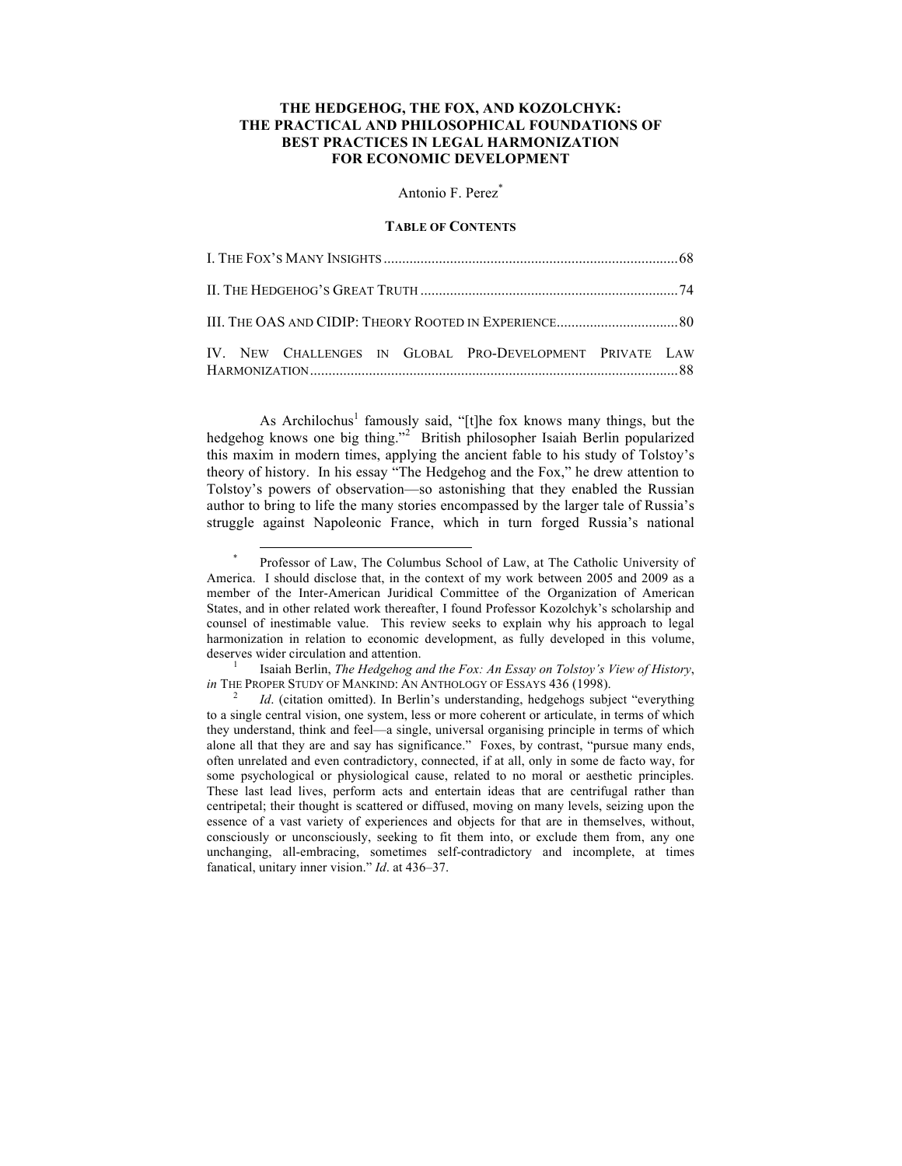# **THE HEDGEHOG, THE FOX, AND KOZOLCHYK: THE PRACTICAL AND PHILOSOPHICAL FOUNDATIONS OF BEST PRACTICES IN LEGAL HARMONIZATION FOR ECONOMIC DEVELOPMENT**

Antonio F. Perez\*

### **TABLE OF CONTENTS**

|  |  |  |  | IV. NEW CHALLENGES IN GLOBAL PRO-DEVELOPMENT PRIVATE LAW |  |  |
|--|--|--|--|----------------------------------------------------------|--|--|

As Archilochus<sup>1</sup> famously said, "[t]he fox knows many things, but the hedgehog knows one big thing."<sup>2</sup> British philosopher Isaiah Berlin popularized this maxim in modern times, applying the ancient fable to his study of Tolstoy's theory of history. In his essay "The Hedgehog and the Fox," he drew attention to Tolstoy's powers of observation—so astonishing that they enabled the Russian author to bring to life the many stories encompassed by the larger tale of Russia's struggle against Napoleonic France, which in turn forged Russia's national

*in* THE PROPER STUDY OF MANKIND: AN ANTHOLOGY OF ESSAYS 436 (1998).<br><sup>2</sup> *Id.* (citation omitted). In Berlin's understanding, hedgehogs subject "everything

Professor of Law, The Columbus School of Law, at The Catholic University of America. I should disclose that, in the context of my work between 2005 and 2009 as a member of the Inter-American Juridical Committee of the Organization of American States, and in other related work thereafter, I found Professor Kozolchyk's scholarship and counsel of inestimable value. This review seeks to explain why his approach to legal harmonization in relation to economic development, as fully developed in this volume, deserves wider circulation and attention. 1 Isaiah Berlin, *The Hedgehog and the Fox: An Essay on Tolstoy's View of History*,

to a single central vision, one system, less or more coherent or articulate, in terms of which they understand, think and feel—a single, universal organising principle in terms of which alone all that they are and say has significance." Foxes, by contrast, "pursue many ends, often unrelated and even contradictory, connected, if at all, only in some de facto way, for some psychological or physiological cause, related to no moral or aesthetic principles. These last lead lives, perform acts and entertain ideas that are centrifugal rather than centripetal; their thought is scattered or diffused, moving on many levels, seizing upon the essence of a vast variety of experiences and objects for that are in themselves, without, consciously or unconsciously, seeking to fit them into, or exclude them from, any one unchanging, all-embracing, sometimes self-contradictory and incomplete, at times fanatical, unitary inner vision." *Id*. at 436–37.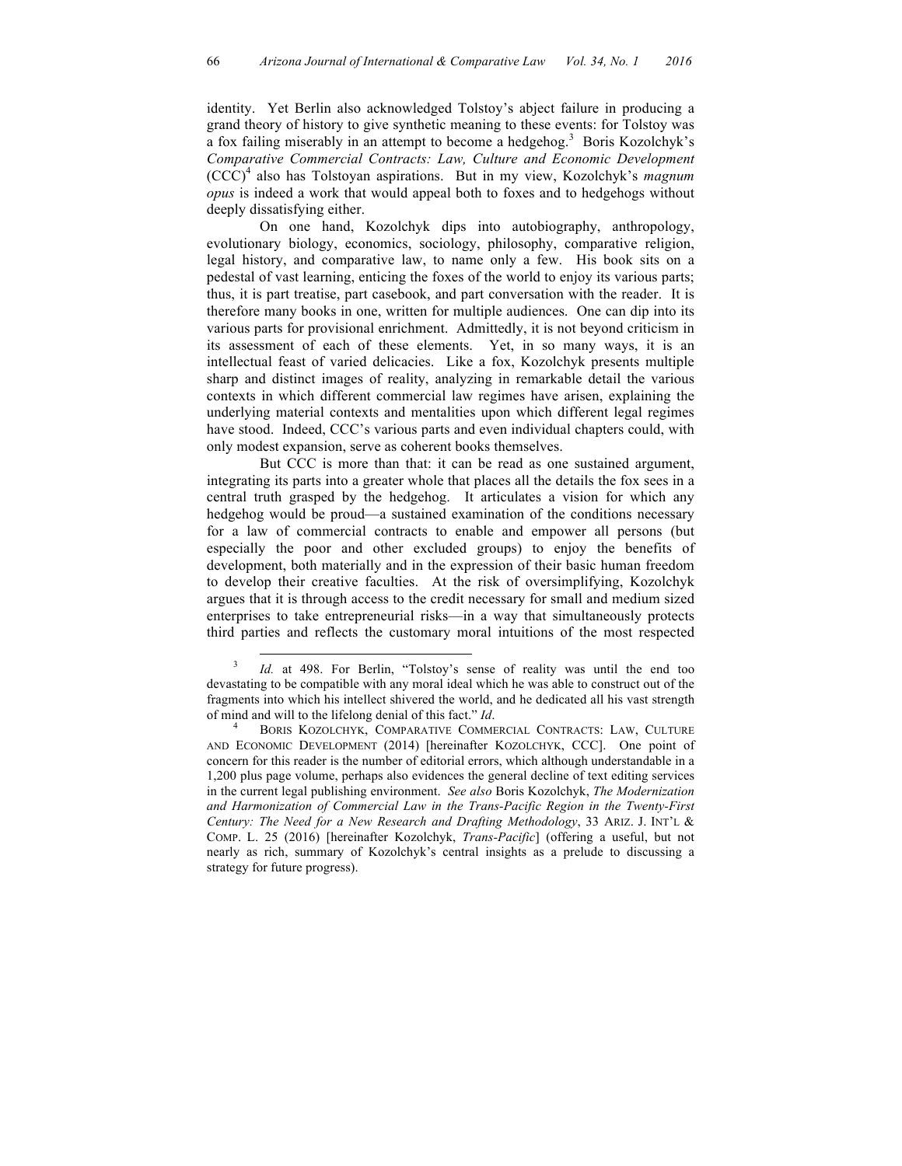identity. Yet Berlin also acknowledged Tolstoy's abject failure in producing a grand theory of history to give synthetic meaning to these events: for Tolstoy was a fox failing miserably in an attempt to become a hedgehog.<sup>3</sup> Boris Kozolchyk's *Comparative Commercial Contracts: Law, Culture and Economic Development* (CCC) <sup>4</sup> also has Tolstoyan aspirations. But in my view, Kozolchyk's *magnum opus* is indeed a work that would appeal both to foxes and to hedgehogs without deeply dissatisfying either.

On one hand, Kozolchyk dips into autobiography, anthropology, evolutionary biology, economics, sociology, philosophy, comparative religion, legal history, and comparative law, to name only a few. His book sits on a pedestal of vast learning, enticing the foxes of the world to enjoy its various parts; thus, it is part treatise, part casebook, and part conversation with the reader. It is therefore many books in one, written for multiple audiences. One can dip into its various parts for provisional enrichment. Admittedly, it is not beyond criticism in its assessment of each of these elements. Yet, in so many ways, it is an intellectual feast of varied delicacies. Like a fox, Kozolchyk presents multiple sharp and distinct images of reality, analyzing in remarkable detail the various contexts in which different commercial law regimes have arisen, explaining the underlying material contexts and mentalities upon which different legal regimes have stood. Indeed, CCC's various parts and even individual chapters could, with only modest expansion, serve as coherent books themselves.

But CCC is more than that: it can be read as one sustained argument, integrating its parts into a greater whole that places all the details the fox sees in a central truth grasped by the hedgehog. It articulates a vision for which any hedgehog would be proud—a sustained examination of the conditions necessary for a law of commercial contracts to enable and empower all persons (but especially the poor and other excluded groups) to enjoy the benefits of development, both materially and in the expression of their basic human freedom to develop their creative faculties. At the risk of oversimplifying, Kozolchyk argues that it is through access to the credit necessary for small and medium sized enterprises to take entrepreneurial risks—in a way that simultaneously protects third parties and reflects the customary moral intuitions of the most respected

Id. at 498. For Berlin, "Tolstoy's sense of reality was until the end too devastating to be compatible with any moral ideal which he was able to construct out of the fragments into which his intellect shivered the world, and he dedicated all his vast strength of mind and will to the lifelong denial of this fact." *Id*. <sup>4</sup> BORIS KOZOLCHYK, COMPARATIVE COMMERCIAL CONTRACTS: LAW, CULTURE

AND ECONOMIC DEVELOPMENT (2014) [hereinafter KOZOLCHYK, CCC]. One point of concern for this reader is the number of editorial errors, which although understandable in a 1,200 plus page volume, perhaps also evidences the general decline of text editing services in the current legal publishing environment. *See also* Boris Kozolchyk, *The Modernization and Harmonization of Commercial Law in the Trans-Pacific Region in the Twenty-First Century: The Need for a New Research and Drafting Methodology*, 33 ARIZ. J. INT'L & COMP. L. 25 (2016) [hereinafter Kozolchyk, *Trans-Pacific*] (offering a useful, but not nearly as rich, summary of Kozolchyk's central insights as a prelude to discussing a strategy for future progress).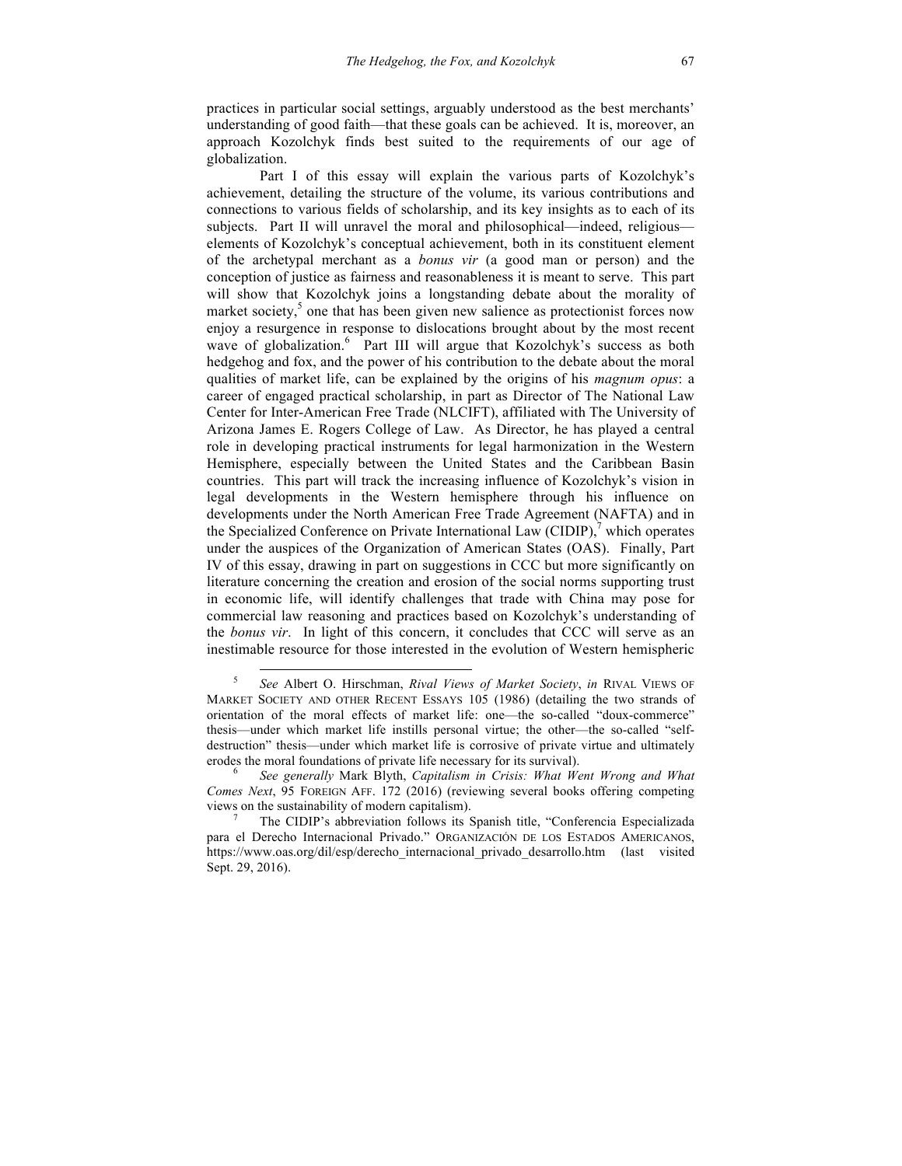practices in particular social settings, arguably understood as the best merchants' understanding of good faith—that these goals can be achieved. It is, moreover, an approach Kozolchyk finds best suited to the requirements of our age of globalization.

Part I of this essay will explain the various parts of Kozolchyk's achievement, detailing the structure of the volume, its various contributions and connections to various fields of scholarship, and its key insights as to each of its subjects. Part II will unravel the moral and philosophical—indeed, religious elements of Kozolchyk's conceptual achievement, both in its constituent element of the archetypal merchant as a *bonus vir* (a good man or person) and the conception of justice as fairness and reasonableness it is meant to serve. This part will show that Kozolchyk joins a longstanding debate about the morality of market society, $5$  one that has been given new salience as protectionist forces now enjoy a resurgence in response to dislocations brought about by the most recent wave of globalization.<sup>6</sup> Part III will argue that Kozolchyk's success as both hedgehog and fox, and the power of his contribution to the debate about the moral qualities of market life, can be explained by the origins of his *magnum opus*: a career of engaged practical scholarship, in part as Director of The National Law Center for Inter-American Free Trade (NLCIFT), affiliated with The University of Arizona James E. Rogers College of Law. As Director, he has played a central role in developing practical instruments for legal harmonization in the Western Hemisphere, especially between the United States and the Caribbean Basin countries. This part will track the increasing influence of Kozolchyk's vision in legal developments in the Western hemisphere through his influence on developments under the North American Free Trade Agreement (NAFTA) and in the Specialized Conference on Private International Law  $\text{(CIDIP)}$ , which operates under the auspices of the Organization of American States (OAS). Finally, Part IV of this essay, drawing in part on suggestions in CCC but more significantly on literature concerning the creation and erosion of the social norms supporting trust in economic life, will identify challenges that trade with China may pose for commercial law reasoning and practices based on Kozolchyk's understanding of the *bonus vir*. In light of this concern, it concludes that CCC will serve as an inestimable resource for those interested in the evolution of Western hemispheric

 <sup>5</sup> *See* Albert O. Hirschman, *Rival Views of Market Society*, *in* RIVAL VIEWS OF MARKET SOCIETY AND OTHER RECENT ESSAYS 105 (1986) (detailing the two strands of orientation of the moral effects of market life: one—the so-called "doux-commerce" thesis—under which market life instills personal virtue; the other—the so-called "selfdestruction" thesis—under which market life is corrosive of private virtue and ultimately erodes the moral foundations of private life necessary for its survival). <sup>6</sup> *See generally* Mark Blyth, *Capitalism in Crisis: What Went Wrong and What* 

*Comes Next*, 95 FOREIGN AFF. 172 (2016) (reviewing several books offering competing views on the sustainability of modern capitalism).<br><sup>7</sup> The CIDIP's abbreviation follows its Spanish title, "Conferencia Especializada"

para el Derecho Internacional Privado." ORGANIZACIÓN DE LOS ESTADOS AMERICANOS, https://www.oas.org/dil/esp/derecho\_internacional\_privado\_desarrollo.htm (last visited Sept. 29, 2016).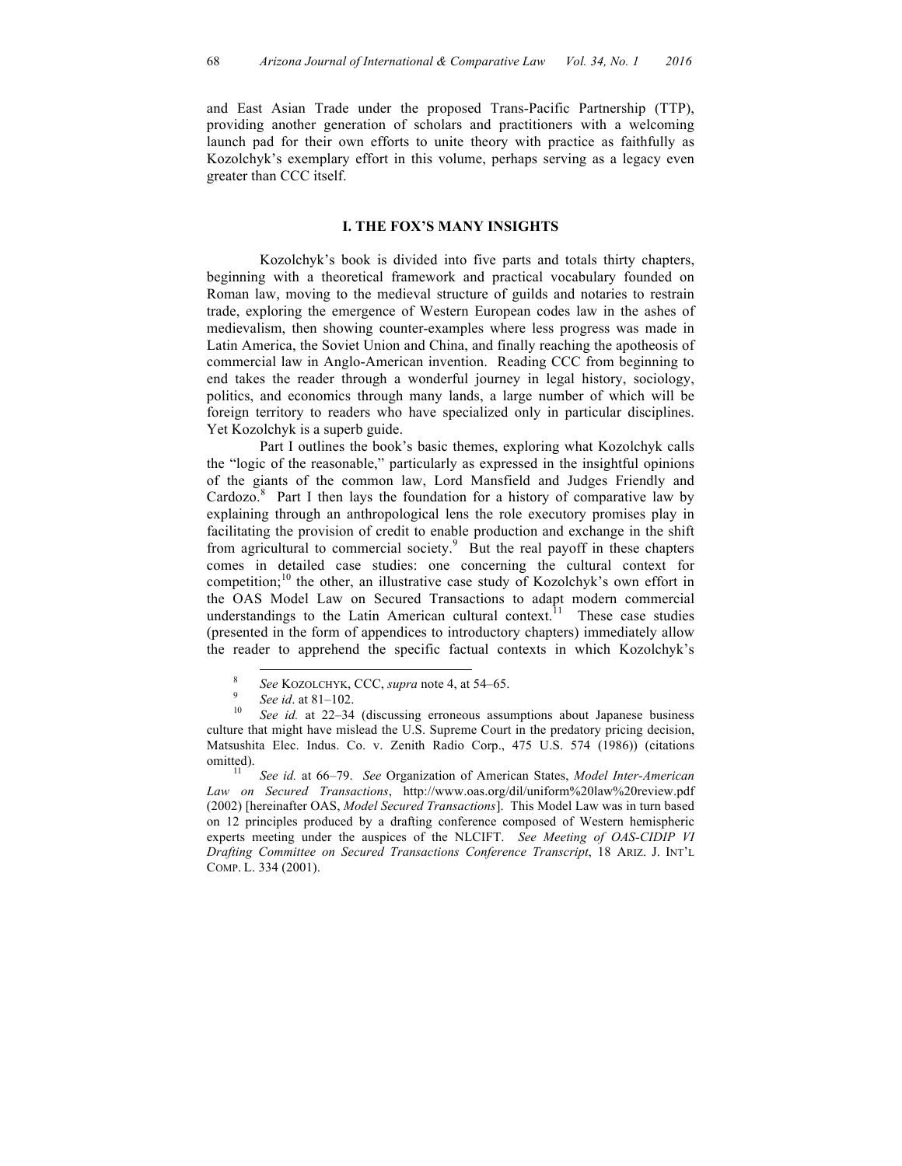and East Asian Trade under the proposed Trans-Pacific Partnership (TTP), providing another generation of scholars and practitioners with a welcoming launch pad for their own efforts to unite theory with practice as faithfully as Kozolchyk's exemplary effort in this volume, perhaps serving as a legacy even greater than CCC itself.

## **I. THE FOX'S MANY INSIGHTS**

Kozolchyk's book is divided into five parts and totals thirty chapters, beginning with a theoretical framework and practical vocabulary founded on Roman law, moving to the medieval structure of guilds and notaries to restrain trade, exploring the emergence of Western European codes law in the ashes of medievalism, then showing counter-examples where less progress was made in Latin America, the Soviet Union and China, and finally reaching the apotheosis of commercial law in Anglo-American invention. Reading CCC from beginning to end takes the reader through a wonderful journey in legal history, sociology, politics, and economics through many lands, a large number of which will be foreign territory to readers who have specialized only in particular disciplines. Yet Kozolchyk is a superb guide.

Part I outlines the book's basic themes, exploring what Kozolchyk calls the "logic of the reasonable," particularly as expressed in the insightful opinions of the giants of the common law, Lord Mansfield and Judges Friendly and Cardozo.<sup>8</sup> Part I then lays the foundation for a history of comparative law by explaining through an anthropological lens the role executory promises play in facilitating the provision of credit to enable production and exchange in the shift from agricultural to commercial society.<sup>9</sup> But the real payoff in these chapters comes in detailed case studies: one concerning the cultural context for competition; <sup>10</sup> the other, an illustrative case study of Kozolchyk's own effort in the OAS Model Law on Secured Transactions to adapt modern commercial understandings to the Latin American cultural context.<sup>11</sup> These case studies (presented in the form of appendices to introductory chapters) immediately allow the reader to apprehend the specific factual contexts in which Kozolchyk's

<sup>8</sup> *See* KOZOLCHYK, CCC, *supra* note 4, at 54–65. 9 *See id*. at 81–102. 10 *See id.* at 22–34 (discussing erroneous assumptions about Japanese business culture that might have mislead the U.S. Supreme Court in the predatory pricing decision, Matsushita Elec. Indus. Co. v. Zenith Radio Corp., 475 U.S. 574 (1986)) (citations omitted). <sup>11</sup> *See id.* at 66–79. *See* Organization of American States, *Model Inter-American* 

*Law on Secured Transactions*, http://www.oas.org/dil/uniform%20law%20review.pdf (2002) [hereinafter OAS, *Model Secured Transactions*]. This Model Law was in turn based on 12 principles produced by a drafting conference composed of Western hemispheric experts meeting under the auspices of the NLCIFT. *See Meeting of OAS-CIDIP VI Drafting Committee on Secured Transactions Conference Transcript*, 18 ARIZ. J. INT'L COMP. L. 334 (2001).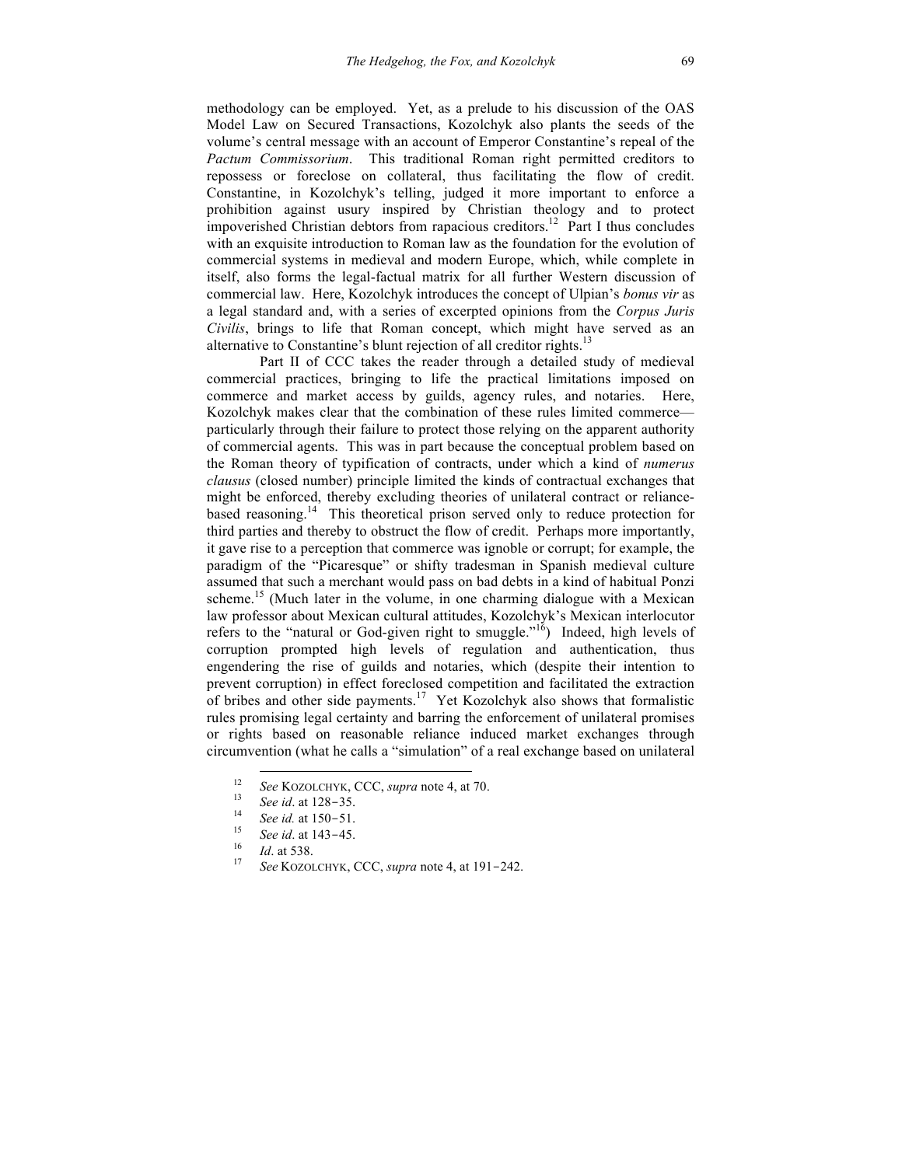methodology can be employed. Yet, as a prelude to his discussion of the OAS Model Law on Secured Transactions, Kozolchyk also plants the seeds of the volume's central message with an account of Emperor Constantine's repeal of the *Pactum Commissorium*. This traditional Roman right permitted creditors to repossess or foreclose on collateral, thus facilitating the flow of credit. Constantine, in Kozolchyk's telling, judged it more important to enforce a prohibition against usury inspired by Christian theology and to protect impoverished Christian debtors from rapacious creditors.<sup>12</sup> Part I thus concludes with an exquisite introduction to Roman law as the foundation for the evolution of commercial systems in medieval and modern Europe, which, while complete in itself, also forms the legal-factual matrix for all further Western discussion of commercial law. Here, Kozolchyk introduces the concept of Ulpian's *bonus vir* as a legal standard and, with a series of excerpted opinions from the *Corpus Juris Civilis*, brings to life that Roman concept, which might have served as an alternative to Constantine's blunt rejection of all creditor rights.<sup>13</sup>

Part II of CCC takes the reader through a detailed study of medieval commercial practices, bringing to life the practical limitations imposed on commerce and market access by guilds, agency rules, and notaries. Here, Kozolchyk makes clear that the combination of these rules limited commerce particularly through their failure to protect those relying on the apparent authority of commercial agents. This was in part because the conceptual problem based on the Roman theory of typification of contracts, under which a kind of *numerus clausus* (closed number) principle limited the kinds of contractual exchanges that might be enforced, thereby excluding theories of unilateral contract or reliancebased reasoning.<sup>14</sup> This theoretical prison served only to reduce protection for third parties and thereby to obstruct the flow of credit. Perhaps more importantly, it gave rise to a perception that commerce was ignoble or corrupt; for example, the paradigm of the "Picaresque" or shifty tradesman in Spanish medieval culture assumed that such a merchant would pass on bad debts in a kind of habitual Ponzi scheme.<sup>15</sup> (Much later in the volume, in one charming dialogue with a Mexican law professor about Mexican cultural attitudes, Kozolchyk's Mexican interlocutor refers to the "natural or God-given right to smuggle."<sup>16</sup>) Indeed, high levels of corruption prompted high levels of regulation and authentication, thus engendering the rise of guilds and notaries, which (despite their intention to prevent corruption) in effect foreclosed competition and facilitated the extraction of bribes and other side payments.17 Yet Kozolchyk also shows that formalistic rules promising legal certainty and barring the enforcement of unilateral promises or rights based on reasonable reliance induced market exchanges through circumvention (what he calls a "simulation" of a real exchange based on unilateral

<sup>&</sup>lt;sup>12</sup> See KOZOLCHYK, CCC, *supra* note 4, at 70.<br>
<sup>13</sup> See id. at 128–35.<br>
<sup>14</sup> See id. at 150–51.<br>
<sup>15</sup> See id. at 143–45.<br>
<sup>16</sup> Id. at 538.<br>
<sup>27</sup> See KOZOLCHYK, CCC, *supra* note 4, at 191–242.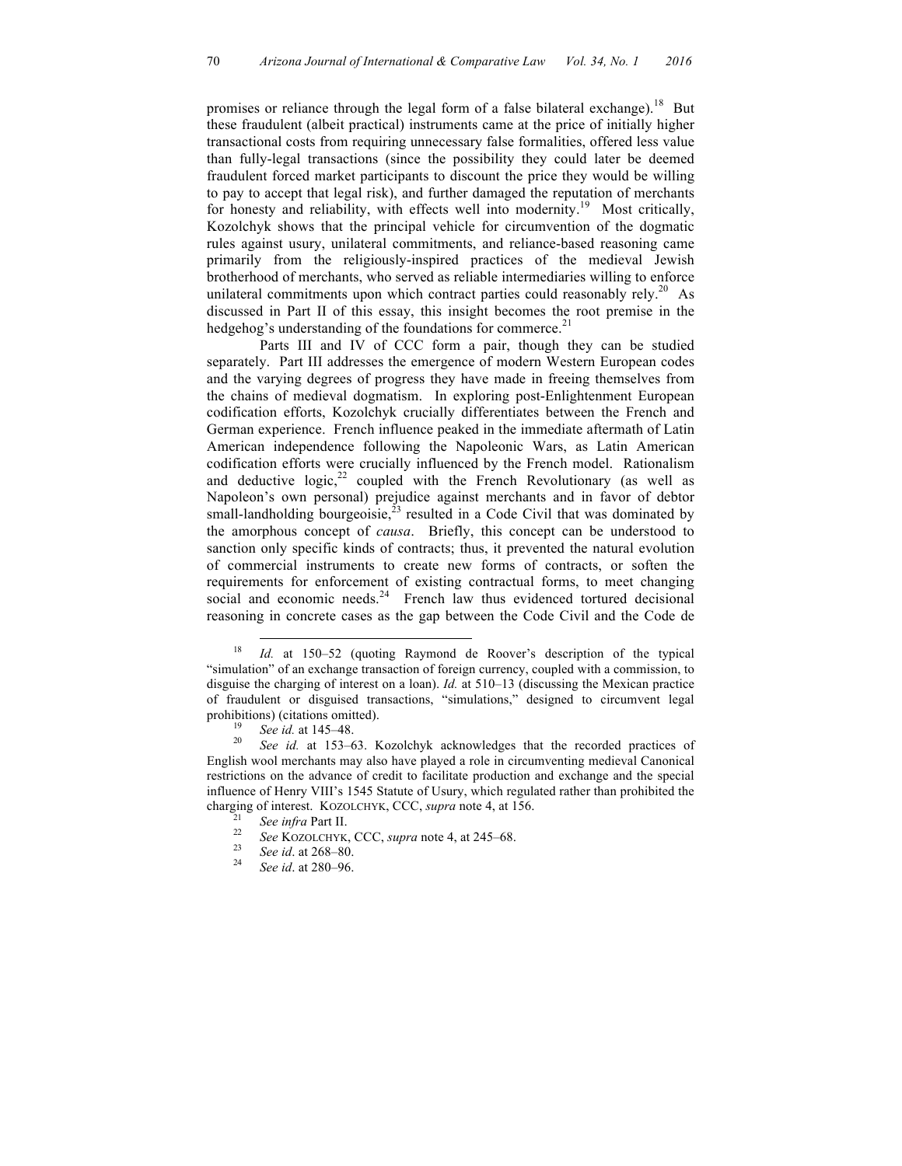promises or reliance through the legal form of a false bilateral exchange).<sup>18</sup> But these fraudulent (albeit practical) instruments came at the price of initially higher transactional costs from requiring unnecessary false formalities, offered less value than fully-legal transactions (since the possibility they could later be deemed fraudulent forced market participants to discount the price they would be willing to pay to accept that legal risk), and further damaged the reputation of merchants for honesty and reliability, with effects well into modernity.<sup>19</sup> Most critically, Kozolchyk shows that the principal vehicle for circumvention of the dogmatic rules against usury, unilateral commitments, and reliance-based reasoning came primarily from the religiously-inspired practices of the medieval Jewish brotherhood of merchants, who served as reliable intermediaries willing to enforce unilateral commitments upon which contract parties could reasonably rely.<sup>20</sup> As discussed in Part II of this essay, this insight becomes the root premise in the hedgehog's understanding of the foundations for commerce.<sup>21</sup>

Parts III and IV of CCC form a pair, though they can be studied separately. Part III addresses the emergence of modern Western European codes and the varying degrees of progress they have made in freeing themselves from the chains of medieval dogmatism. In exploring post-Enlightenment European codification efforts, Kozolchyk crucially differentiates between the French and German experience. French influence peaked in the immediate aftermath of Latin American independence following the Napoleonic Wars, as Latin American codification efforts were crucially influenced by the French model. Rationalism and deductive logic, $22$  coupled with the French Revolutionary (as well as Napoleon's own personal) prejudice against merchants and in favor of debtor small-landholding bourgeoisie, $^{23}$  resulted in a Code Civil that was dominated by the amorphous concept of *causa*. Briefly, this concept can be understood to sanction only specific kinds of contracts; thus, it prevented the natural evolution of commercial instruments to create new forms of contracts, or soften the requirements for enforcement of existing contractual forms, to meet changing social and economic needs. $24$  French law thus evidenced tortured decisional reasoning in concrete cases as the gap between the Code Civil and the Code de

- 
- 

 <sup>18</sup> *Id.* at 150–52 (quoting Raymond de Roover's description of the typical "simulation" of an exchange transaction of foreign currency, coupled with a commission, to disguise the charging of interest on a loan). *Id.* at 510–13 (discussing the Mexican practice of fraudulent or disguised transactions, "simulations," designed to circumvent legal prohibitions) (citations omitted).<br><sup>19</sup> *See id.* at 145–48.<br><sup>20</sup> *See id.* at 153–63. Kozolchyk acknowledges that the recorded practices of

English wool merchants may also have played a role in circumventing medieval Canonical restrictions on the advance of credit to facilitate production and exchange and the special influence of Henry VIII's 1545 Statute of Usury, which regulated rather than prohibited the charging of interest. KOZOLCHYK, CCC, *supra* note 4, at 156.<br><sup>21</sup> *See infra* Part II.<br><sup>22</sup> *See* KOZOLCHYK, CCC, *supra* note 4, at 245–68.<br><sup>23</sup> *See id.* at 268–80.<br><sup>24</sup> *See id.* at 280–96.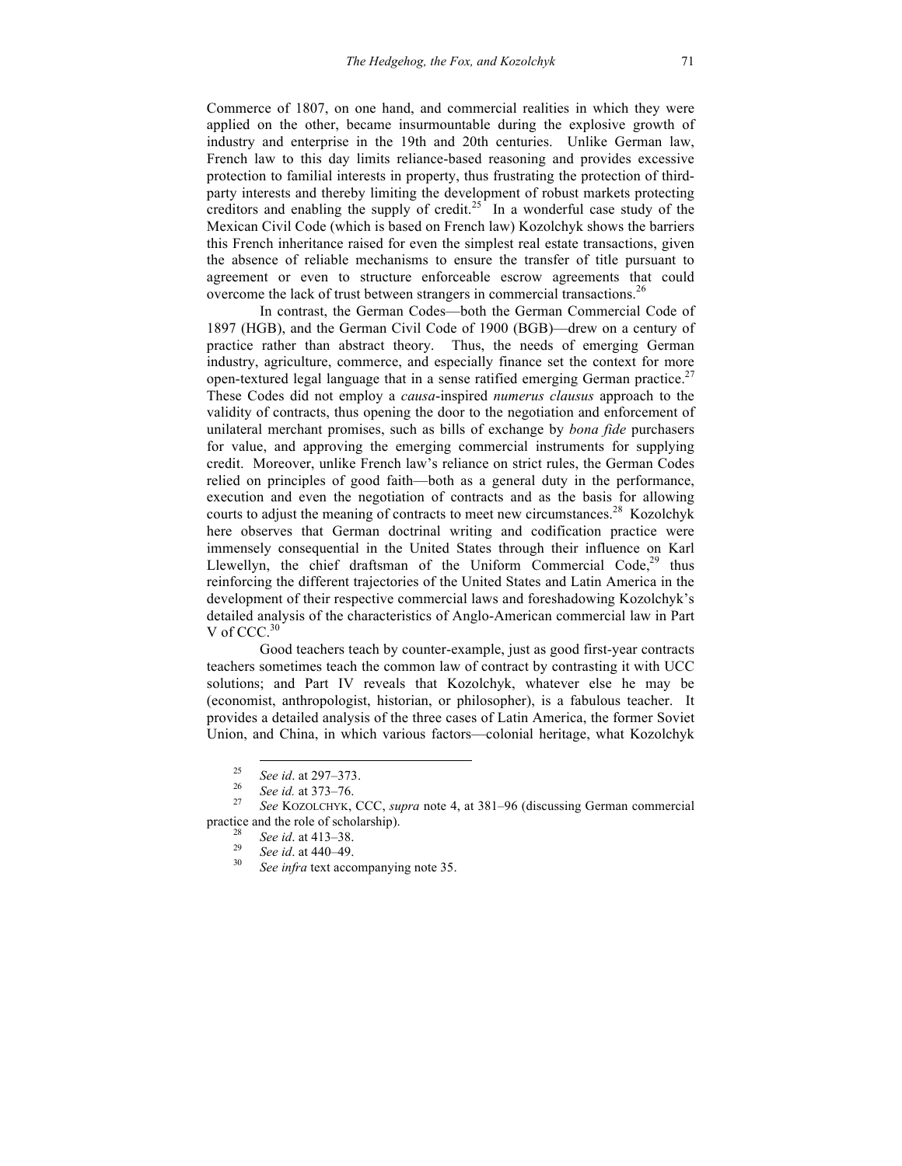Commerce of 1807, on one hand, and commercial realities in which they were applied on the other, became insurmountable during the explosive growth of industry and enterprise in the 19th and 20th centuries. Unlike German law, French law to this day limits reliance-based reasoning and provides excessive protection to familial interests in property, thus frustrating the protection of thirdparty interests and thereby limiting the development of robust markets protecting creditors and enabling the supply of credit.<sup>25</sup> In a wonderful case study of the Mexican Civil Code (which is based on French law) Kozolchyk shows the barriers this French inheritance raised for even the simplest real estate transactions, given the absence of reliable mechanisms to ensure the transfer of title pursuant to agreement or even to structure enforceable escrow agreements that could overcome the lack of trust between strangers in commercial transactions.<sup>26</sup>

In contrast, the German Codes—both the German Commercial Code of 1897 (HGB), and the German Civil Code of 1900 (BGB)—drew on a century of practice rather than abstract theory. Thus, the needs of emerging German industry, agriculture, commerce, and especially finance set the context for more open-textured legal language that in a sense ratified emerging German practice.<sup>27</sup> These Codes did not employ a *causa*-inspired *numerus clausus* approach to the validity of contracts, thus opening the door to the negotiation and enforcement of unilateral merchant promises, such as bills of exchange by *bona fide* purchasers for value, and approving the emerging commercial instruments for supplying credit. Moreover, unlike French law's reliance on strict rules, the German Codes relied on principles of good faith—both as a general duty in the performance, execution and even the negotiation of contracts and as the basis for allowing courts to adjust the meaning of contracts to meet new circumstances. <sup>28</sup> Kozolchyk here observes that German doctrinal writing and codification practice were immensely consequential in the United States through their influence on Karl Llewellyn, the chief draftsman of the Uniform Commercial  $Code<sub>2</sub><sup>29</sup>$  thus reinforcing the different trajectories of the United States and Latin America in the development of their respective commercial laws and foreshadowing Kozolchyk's detailed analysis of the characteristics of Anglo-American commercial law in Part V of CCC.<sup>30</sup>

Good teachers teach by counter-example, just as good first-year contracts teachers sometimes teach the common law of contract by contrasting it with UCC solutions; and Part IV reveals that Kozolchyk, whatever else he may be (economist, anthropologist, historian, or philosopher), is a fabulous teacher. It provides a detailed analysis of the three cases of Latin America, the former Soviet Union, and China, in which various factors—colonial heritage, what Kozolchyk

<sup>25</sup> *See id*. at 297–373. 26 *See id.* at 373–76. <sup>27</sup> *See* KOZOLCHYK, CCC, *supra* note 4, at 381–96 (discussing German commercial practice and the role of scholarship).<br><sup>28</sup> *See id.* at 413–38.<br><sup>29</sup> *See id.* at 440–49.<br><sup>30</sup> *See infra* text accompanying note 35.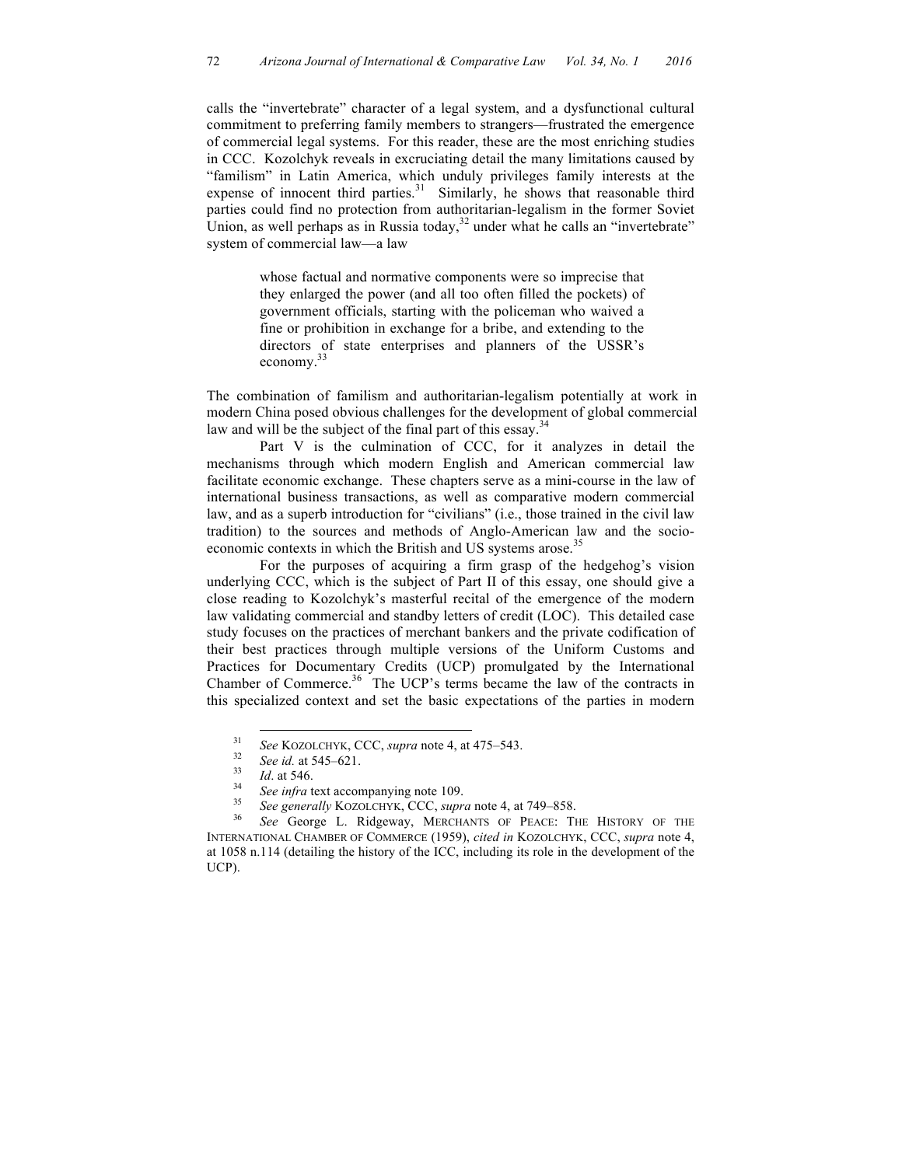calls the "invertebrate" character of a legal system, and a dysfunctional cultural commitment to preferring family members to strangers—frustrated the emergence of commercial legal systems. For this reader, these are the most enriching studies in CCC. Kozolchyk reveals in excruciating detail the many limitations caused by "familism" in Latin America, which unduly privileges family interests at the expense of innocent third parties. $31$  Similarly, he shows that reasonable third parties could find no protection from authoritarian-legalism in the former Soviet Union, as well perhaps as in Russia today, $32$  under what he calls an "invertebrate" system of commercial law—a law

> whose factual and normative components were so imprecise that they enlarged the power (and all too often filled the pockets) of government officials, starting with the policeman who waived a fine or prohibition in exchange for a bribe, and extending to the directors of state enterprises and planners of the USSR's economy.<sup>33</sup>

The combination of familism and authoritarian-legalism potentially at work in modern China posed obvious challenges for the development of global commercial law and will be the subject of the final part of this essay.<sup>34</sup>

Part V is the culmination of CCC, for it analyzes in detail the mechanisms through which modern English and American commercial law facilitate economic exchange. These chapters serve as a mini-course in the law of international business transactions, as well as comparative modern commercial law, and as a superb introduction for "civilians" (i.e., those trained in the civil law tradition) to the sources and methods of Anglo-American law and the socioeconomic contexts in which the British and US systems arose.<sup>35</sup>

For the purposes of acquiring a firm grasp of the hedgehog's vision underlying CCC, which is the subject of Part II of this essay, one should give a close reading to Kozolchyk's masterful recital of the emergence of the modern law validating commercial and standby letters of credit (LOC). This detailed case study focuses on the practices of merchant bankers and the private codification of their best practices through multiple versions of the Uniform Customs and Practices for Documentary Credits (UCP) promulgated by the International Chamber of Commerce.<sup>36</sup> The UCP's terms became the law of the contracts in this specialized context and set the basic expectations of the parties in modern

<sup>&</sup>lt;sup>31</sup> See KOZOLCHYK, CCC, *supra* note 4, at 475–543.<br> *See id.* at 545–621.<br> *Id.* at 546.<br> *See infra* text accompanying note 109.<br> *See generally* KOZOLCHYK, CCC, *supra* note 4, at 749–858.<br> *See George L. Ridgeway, ME* INTERNATIONAL CHAMBER OF COMMERCE (1959), *cited in* KOZOLCHYK, CCC, *supra* note 4, at 1058 n.114 (detailing the history of the ICC, including its role in the development of the UCP).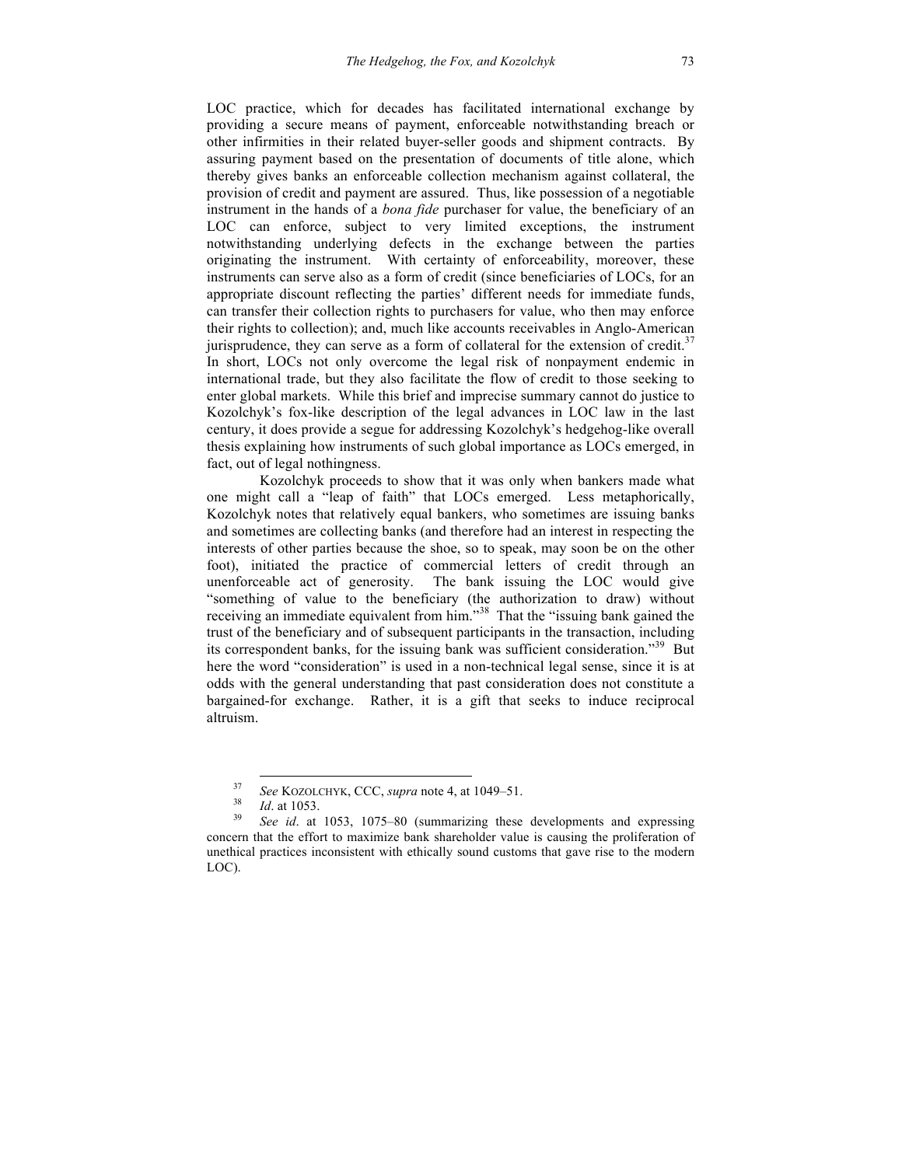LOC practice, which for decades has facilitated international exchange by providing a secure means of payment, enforceable notwithstanding breach or other infirmities in their related buyer-seller goods and shipment contracts. By assuring payment based on the presentation of documents of title alone, which thereby gives banks an enforceable collection mechanism against collateral, the provision of credit and payment are assured. Thus, like possession of a negotiable instrument in the hands of a *bona fide* purchaser for value, the beneficiary of an LOC can enforce, subject to very limited exceptions, the instrument notwithstanding underlying defects in the exchange between the parties originating the instrument. With certainty of enforceability, moreover, these instruments can serve also as a form of credit (since beneficiaries of LOCs, for an appropriate discount reflecting the parties' different needs for immediate funds, can transfer their collection rights to purchasers for value, who then may enforce their rights to collection); and, much like accounts receivables in Anglo-American jurisprudence, they can serve as a form of collateral for the extension of credit.<sup>37</sup> In short, LOCs not only overcome the legal risk of nonpayment endemic in

international trade, but they also facilitate the flow of credit to those seeking to enter global markets. While this brief and imprecise summary cannot do justice to Kozolchyk's fox-like description of the legal advances in LOC law in the last century, it does provide a segue for addressing Kozolchyk's hedgehog-like overall thesis explaining how instruments of such global importance as LOCs emerged, in fact, out of legal nothingness.

Kozolchyk proceeds to show that it was only when bankers made what one might call a "leap of faith" that LOCs emerged. Less metaphorically, Kozolchyk notes that relatively equal bankers, who sometimes are issuing banks and sometimes are collecting banks (and therefore had an interest in respecting the interests of other parties because the shoe, so to speak, may soon be on the other foot), initiated the practice of commercial letters of credit through an unenforceable act of generosity. The bank issuing the LOC would give "something of value to the beneficiary (the authorization to draw) without receiving an immediate equivalent from him."<sup>38</sup> That the "issuing bank gained the trust of the beneficiary and of subsequent participants in the transaction, including its correspondent banks, for the issuing bank was sufficient consideration."<sup>39</sup> But here the word "consideration" is used in a non-technical legal sense, since it is at odds with the general understanding that past consideration does not constitute a bargained-for exchange. Rather, it is a gift that seeks to induce reciprocal altruism.

<sup>37</sup> *See* KOZOLCHYK, CCC, *supra* note 4, at 1049–51. 38 *Id*. at 1053. 39 *See id*. at 1053, 1075–80 (summarizing these developments and expressing concern that the effort to maximize bank shareholder value is causing the proliferation of unethical practices inconsistent with ethically sound customs that gave rise to the modern LOC).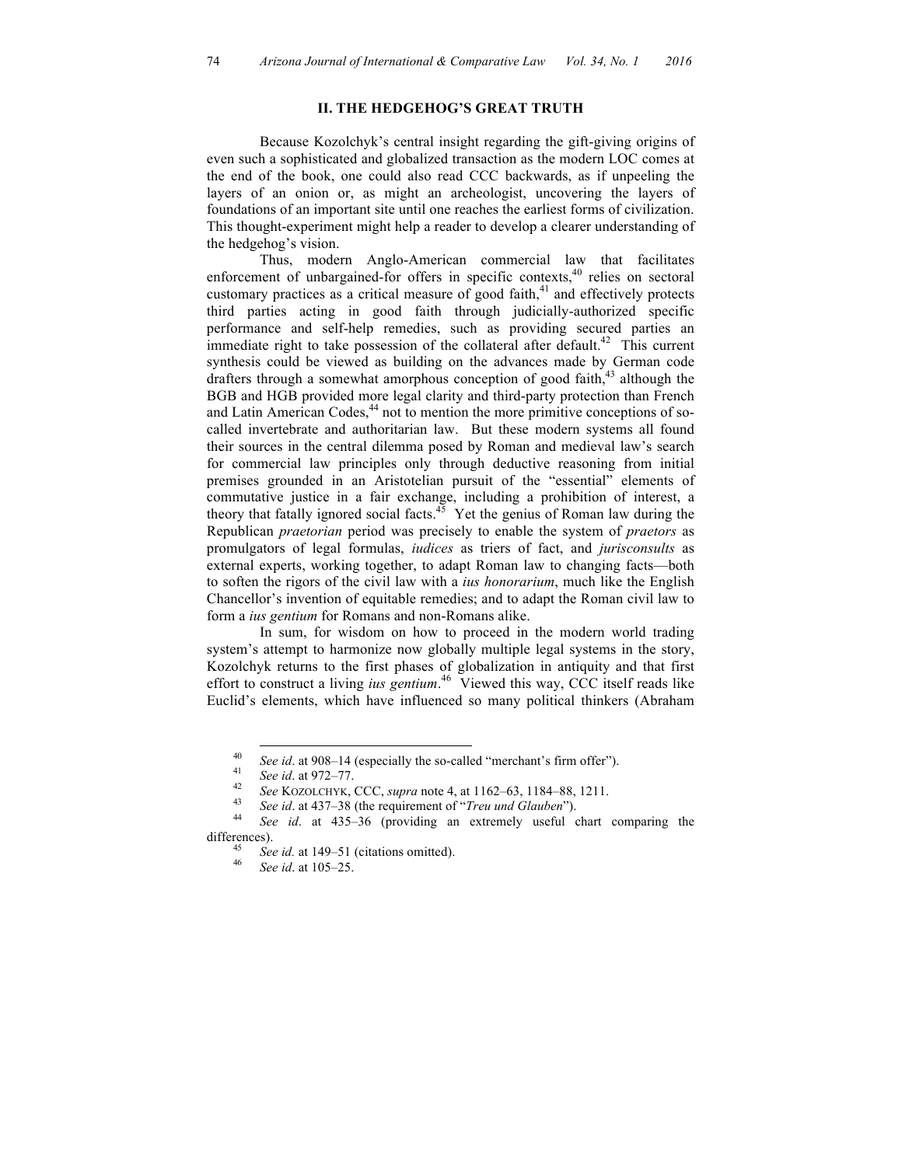#### **II. THE HEDGEHOG'S GREAT TRUTH**

Because Kozolchyk's central insight regarding the gift-giving origins of even such a sophisticated and globalized transaction as the modern LOC comes at the end of the book, one could also read CCC backwards, as if unpeeling the layers of an onion or, as might an archeologist, uncovering the layers of foundations of an important site until one reaches the earliest forms of civilization. This thought-experiment might help a reader to develop a clearer understanding of the hedgehog's vision.

Thus, modern Anglo-American commercial law that facilitates enforcement of unbargained-for offers in specific contexts,  $40$  relies on sectoral customary practices as a critical measure of good faith, $41$  and effectively protects third parties acting in good faith through judicially-authorized specific performance and self-help remedies, such as providing secured parties an immediate right to take possession of the collateral after default.<sup>42</sup> This current synthesis could be viewed as building on the advances made by German code drafters through a somewhat amorphous conception of good faith, $43$  although the BGB and HGB provided more legal clarity and third-party protection than French and Latin American Codes,<sup>44</sup> not to mention the more primitive conceptions of socalled invertebrate and authoritarian law. But these modern systems all found their sources in the central dilemma posed by Roman and medieval law's search for commercial law principles only through deductive reasoning from initial premises grounded in an Aristotelian pursuit of the "essential" elements of commutative justice in a fair exchange, including a prohibition of interest, a theory that fatally ignored social facts. $45$  Yet the genius of Roman law during the Republican *praetorian* period was precisely to enable the system of *praetors* as promulgators of legal formulas, *iudices* as triers of fact, and *jurisconsults* as external experts, working together, to adapt Roman law to changing facts—both to soften the rigors of the civil law with a *ius honorarium*, much like the English Chancellor's invention of equitable remedies; and to adapt the Roman civil law to form a *ius gentium* for Romans and non-Romans alike.

In sum, for wisdom on how to proceed in the modern world trading system's attempt to harmonize now globally multiple legal systems in the story, Kozolchyk returns to the first phases of globalization in antiquity and that first effort to construct a living *ius gentium*. <sup>46</sup> Viewed this way, CCC itself reads like Euclid's elements, which have influenced so many political thinkers (Abraham

<sup>&</sup>lt;sup>40</sup> See id. at 908–14 (especially the so-called "merchant's firm offer").<br>
<sup>41</sup> See id. at 972–77.<br>
<sup>42</sup> See KOZOLCHYK, CCC, *supra* note 4, at 1162–63, 1184–88, 1211.<br>
<sup>43</sup> See id. at 437–38 (the requirement of "*Treu u* 

differences). <sup>45</sup> *See id.* at 149–51 (citations omitted). <sup>46</sup> *See id*. at 105–25.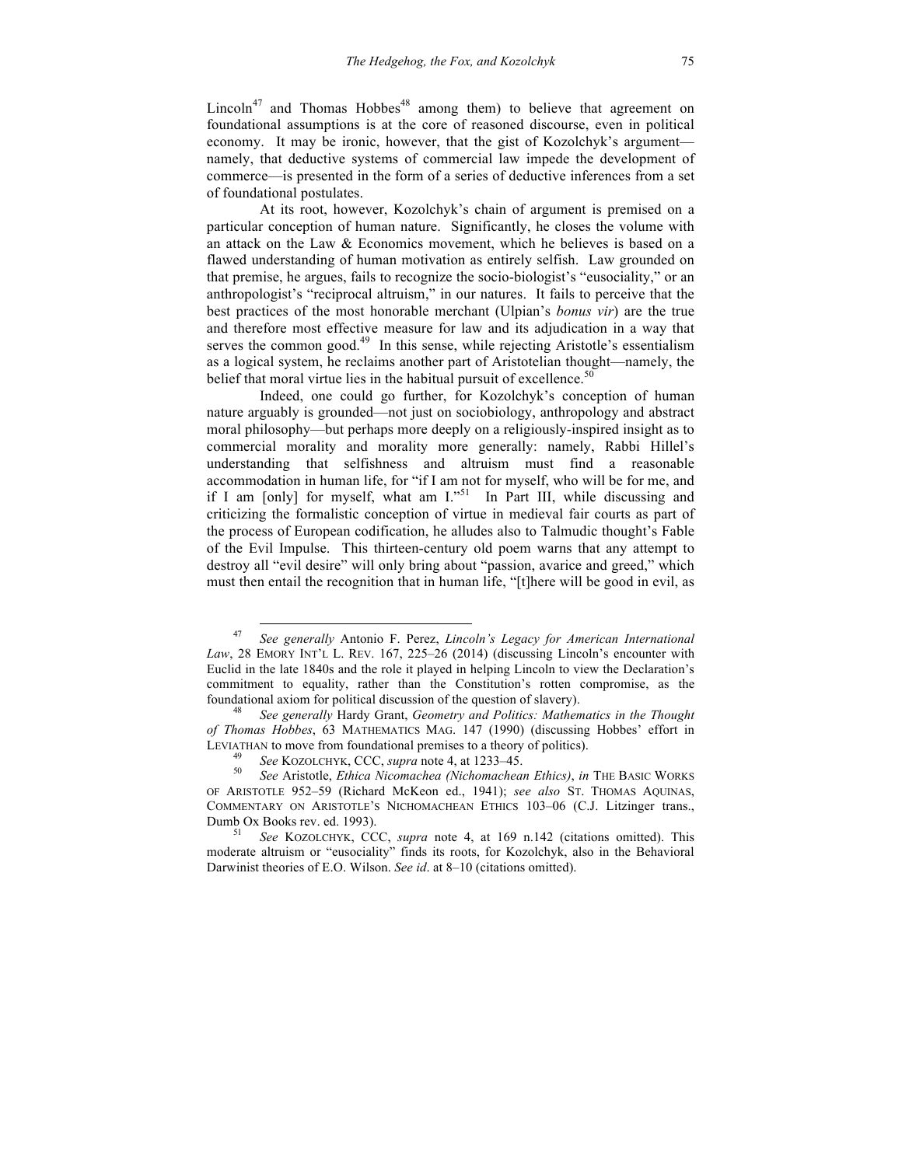Lincoln<sup>47</sup> and Thomas Hobbes<sup>48</sup> among them) to believe that agreement on foundational assumptions is at the core of reasoned discourse, even in political economy. It may be ironic, however, that the gist of Kozolchyk's argument namely, that deductive systems of commercial law impede the development of commerce—is presented in the form of a series of deductive inferences from a set of foundational postulates.

At its root, however, Kozolchyk's chain of argument is premised on a particular conception of human nature. Significantly, he closes the volume with an attack on the Law & Economics movement, which he believes is based on a flawed understanding of human motivation as entirely selfish. Law grounded on that premise, he argues, fails to recognize the socio-biologist's "eusociality," or an anthropologist's "reciprocal altruism," in our natures. It fails to perceive that the best practices of the most honorable merchant (Ulpian's *bonus vir*) are the true and therefore most effective measure for law and its adjudication in a way that serves the common good. $49$  In this sense, while rejecting Aristotle's essentialism as a logical system, he reclaims another part of Aristotelian thought—namely, the belief that moral virtue lies in the habitual pursuit of excellence.<sup>5</sup>

Indeed, one could go further, for Kozolchyk's conception of human nature arguably is grounded—not just on sociobiology, anthropology and abstract moral philosophy—but perhaps more deeply on a religiously-inspired insight as to commercial morality and morality more generally: namely, Rabbi Hillel's understanding that selfishness and altruism must find a reasonable accommodation in human life, for "if I am not for myself, who will be for me, and if I am [only] for myself, what am  $I.^{51}$  In Part III, while discussing and criticizing the formalistic conception of virtue in medieval fair courts as part of the process of European codification, he alludes also to Talmudic thought's Fable of the Evil Impulse. This thirteen-century old poem warns that any attempt to destroy all "evil desire" will only bring about "passion, avarice and greed," which must then entail the recognition that in human life, "[t]here will be good in evil, as

 <sup>47</sup> *See generally* Antonio F. Perez, *Lincoln's Legacy for American International Law*, 28 EMORY INT'L L. REV. 167, 225–26 (2014) (discussing Lincoln's encounter with Euclid in the late 1840s and the role it played in helping Lincoln to view the Declaration's commitment to equality, rather than the Constitution's rotten compromise, as the foundational axiom for political discussion of the question of slavery). 48 *See generally* Hardy Grant, *Geometry and Politics: Mathematics in the Thought* 

*of Thomas Hobbes*, 63 MATHEMATICS MAG. 147 (1990) (discussing Hobbes' effort in LEVIATHAN to move from foundational premises to a theory of politics).<br><sup>49</sup> See KOZOLCHYK, CCC, *supra* note 4, at 1233–45.<br><sup>50</sup> See Aristotle, *Ethica Nicomachea (Nichomachean Ethics)*, *in* THE BASIC WORKS

OF ARISTOTLE 952–59 (Richard McKeon ed., 1941); *see also* ST. THOMAS AQUINAS, COMMENTARY ON ARISTOTLE'S NICHOMACHEAN ETHICS 103–06 (C.J. Litzinger trans., Dumb Ox Books rev. ed. 1993). <sup>51</sup> *See* KOZOLCHYK, CCC, *supra* note 4, at 169 n.142 (citations omitted). This

moderate altruism or "eusociality" finds its roots, for Kozolchyk, also in the Behavioral Darwinist theories of E.O. Wilson. *See id*. at 8–10 (citations omitted).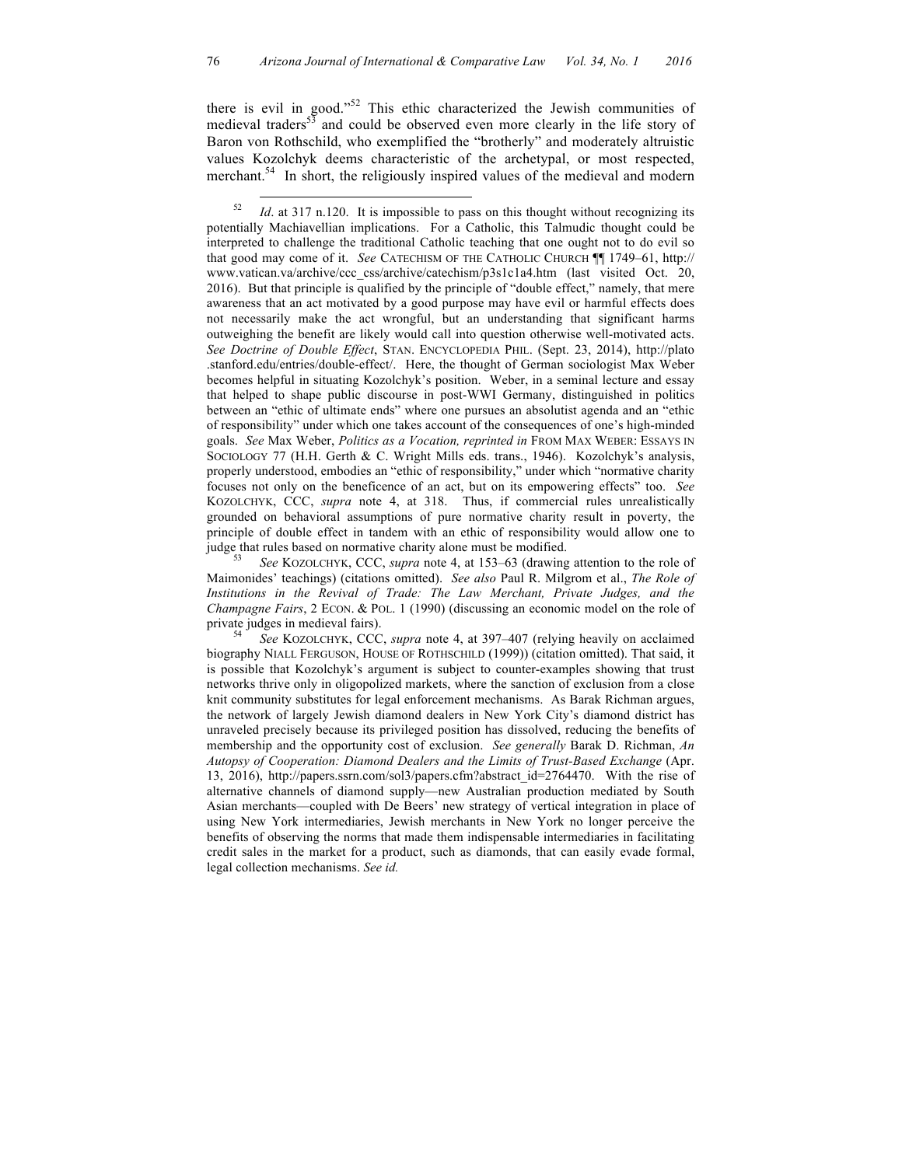there is evil in good."<sup>52</sup> This ethic characterized the Jewish communities of medieval traders<sup>53</sup> and could be observed even more clearly in the life story of Baron von Rothschild, who exemplified the "brotherly" and moderately altruistic values Kozolchyk deems characteristic of the archetypal, or most respected, merchant.<sup>54</sup> In short, the religiously inspired values of the medieval and modern

Maimonides' teachings) (citations omitted). *See also* Paul R. Milgrom et al., *The Role of Institutions in the Revival of Trade: The Law Merchant, Private Judges, and the Champagne Fairs*, 2 ECON. & POL. 1 (1990) (discussing an economic model on the role of private judges in medieval fairs).<br><sup>54</sup> *See* KOZOLCHYK, CCC, *supra* note 4, at 397–407 (relying heavily on acclaimed

biography NIALL FERGUSON, HOUSE OF ROTHSCHILD (1999)) (citation omitted). That said, it is possible that Kozolchyk's argument is subject to counter-examples showing that trust networks thrive only in oligopolized markets, where the sanction of exclusion from a close knit community substitutes for legal enforcement mechanisms. As Barak Richman argues, the network of largely Jewish diamond dealers in New York City's diamond district has unraveled precisely because its privileged position has dissolved, reducing the benefits of membership and the opportunity cost of exclusion. *See generally* Barak D. Richman, *An Autopsy of Cooperation: Diamond Dealers and the Limits of Trust-Based Exchange* (Apr. 13, 2016), http://papers.ssrn.com/sol3/papers.cfm?abstract\_id=2764470. With the rise of alternative channels of diamond supply—new Australian production mediated by South Asian merchants—coupled with De Beers' new strategy of vertical integration in place of using New York intermediaries, Jewish merchants in New York no longer perceive the benefits of observing the norms that made them indispensable intermediaries in facilitating credit sales in the market for a product, such as diamonds, that can easily evade formal, legal collection mechanisms. *See id.*

<sup>&</sup>lt;sup>52</sup> *Id.* at 317 n.120. It is impossible to pass on this thought without recognizing its potentially Machiavellian implications. For a Catholic, this Talmudic thought could be interpreted to challenge the traditional Catholic teaching that one ought not to do evil so that good may come of it. *See* CATECHISM OF THE CATHOLIC CHURCH ¶¶ 1749–61, http:// www.vatican.va/archive/ccc\_css/archive/catechism/p3s1c1a4.htm (last visited Oct. 20, 2016). But that principle is qualified by the principle of "double effect," namely, that mere awareness that an act motivated by a good purpose may have evil or harmful effects does not necessarily make the act wrongful, but an understanding that significant harms outweighing the benefit are likely would call into question otherwise well-motivated acts. *See Doctrine of Double Effect*, STAN. ENCYCLOPEDIA PHIL. (Sept. 23, 2014), http://plato .stanford.edu/entries/double-effect/. Here, the thought of German sociologist Max Weber becomes helpful in situating Kozolchyk's position. Weber, in a seminal lecture and essay that helped to shape public discourse in post-WWI Germany, distinguished in politics between an "ethic of ultimate ends" where one pursues an absolutist agenda and an "ethic of responsibility" under which one takes account of the consequences of one's high-minded goals. *See* Max Weber, *Politics as a Vocation, reprinted in* FROM MAX WEBER: ESSAYS IN SOCIOLOGY 77 (H.H. Gerth & C. Wright Mills eds. trans., 1946). Kozolchyk's analysis, properly understood, embodies an "ethic of responsibility," under which "normative charity focuses not only on the beneficence of an act, but on its empowering effects" too. *See* KOZOLCHYK, CCC, *supra* note 4, at 318. Thus, if commercial rules unrealistically grounded on behavioral assumptions of pure normative charity result in poverty, the principle of double effect in tandem with an ethic of responsibility would allow one to judge that rules based on normative charity alone must be modified. 53 *See* KOZOLCHYK, CCC, *supra* note 4, at 153–63 (drawing attention to the role of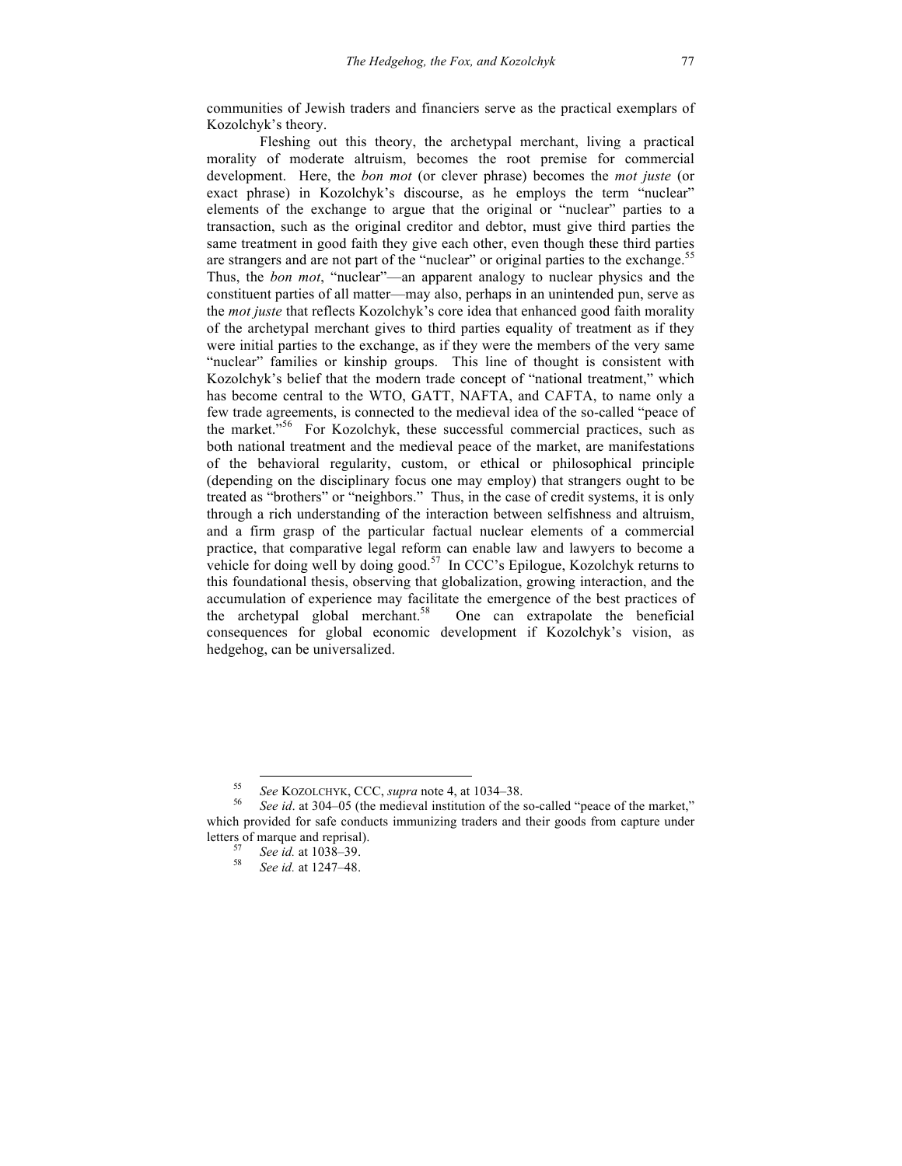communities of Jewish traders and financiers serve as the practical exemplars of Kozolchyk's theory.

Fleshing out this theory, the archetypal merchant, living a practical morality of moderate altruism, becomes the root premise for commercial development. Here, the *bon mot* (or clever phrase) becomes the *mot juste* (or exact phrase) in Kozolchyk's discourse, as he employs the term "nuclear" elements of the exchange to argue that the original or "nuclear" parties to a transaction, such as the original creditor and debtor, must give third parties the same treatment in good faith they give each other, even though these third parties are strangers and are not part of the "nuclear" or original parties to the exchange. 55 Thus, the *bon mot*, "nuclear"—an apparent analogy to nuclear physics and the constituent parties of all matter—may also, perhaps in an unintended pun, serve as the *mot juste* that reflects Kozolchyk's core idea that enhanced good faith morality of the archetypal merchant gives to third parties equality of treatment as if they were initial parties to the exchange, as if they were the members of the very same "nuclear" families or kinship groups. This line of thought is consistent with Kozolchyk's belief that the modern trade concept of "national treatment," which has become central to the WTO, GATT, NAFTA, and CAFTA, to name only a few trade agreements, is connected to the medieval idea of the so-called "peace of the market."<sup>56</sup> For Kozolchyk, these successful commercial practices, such as both national treatment and the medieval peace of the market, are manifestations of the behavioral regularity, custom, or ethical or philosophical principle (depending on the disciplinary focus one may employ) that strangers ought to be treated as "brothers" or "neighbors." Thus, in the case of credit systems, it is only through a rich understanding of the interaction between selfishness and altruism, and a firm grasp of the particular factual nuclear elements of a commercial practice, that comparative legal reform can enable law and lawyers to become a vehicle for doing well by doing good.<sup>57</sup> In CCC's Epilogue, Kozolchyk returns to this foundational thesis, observing that globalization, growing interaction, and the accumulation of experience may facilitate the emergence of the best practices of the archetypal global merchant.<sup>58</sup> One can extrapolate the beneficial consequences for global economic development if Kozolchyk's vision, as hedgehog, can be universalized.

<sup>55</sup> *See* KOZOLCHYK, CCC, *supra* note 4, at 1034–38. 56 *See id*. at 304–05 (the medieval institution of the so-called "peace of the market," which provided for safe conducts immunizing traders and their goods from capture under letters of marque and reprisal). 57 *See id.* at 1038–39. 58 *See id.* at 1247–48.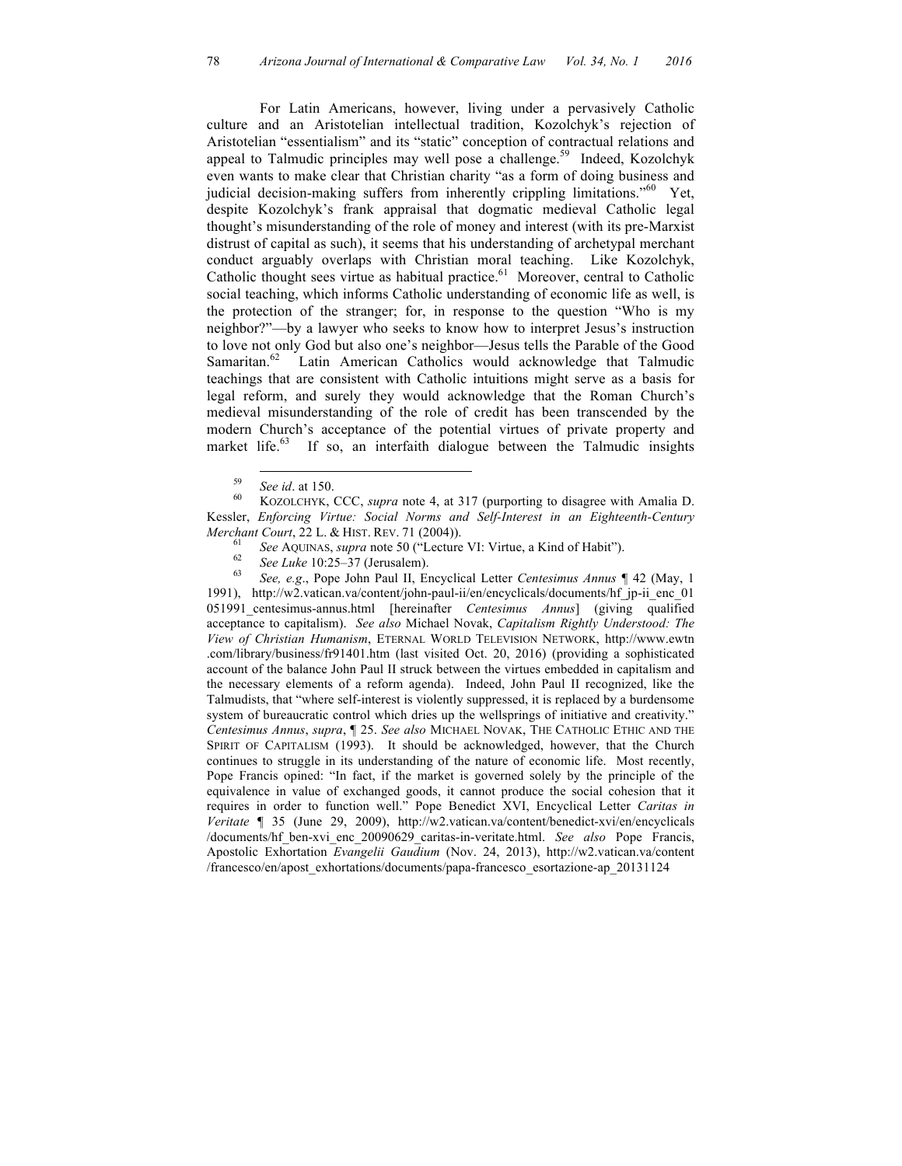For Latin Americans, however, living under a pervasively Catholic culture and an Aristotelian intellectual tradition, Kozolchyk's rejection of Aristotelian "essentialism" and its "static" conception of contractual relations and appeal to Talmudic principles may well pose a challenge.<sup>59</sup> Indeed, Kozolchyk even wants to make clear that Christian charity "as a form of doing business and judicial decision-making suffers from inherently crippling limitations."<sup>60</sup> Yet, despite Kozolchyk's frank appraisal that dogmatic medieval Catholic legal thought's misunderstanding of the role of money and interest (with its pre-Marxist distrust of capital as such), it seems that his understanding of archetypal merchant conduct arguably overlaps with Christian moral teaching. Like Kozolchyk, Catholic thought sees virtue as habitual practice.<sup>61</sup> Moreover, central to Catholic social teaching, which informs Catholic understanding of economic life as well, is the protection of the stranger; for, in response to the question "Who is my neighbor?"—by a lawyer who seeks to know how to interpret Jesus's instruction to love not only God but also one's neighbor—Jesus tells the Parable of the Good Samaritan.<sup>62</sup> Latin American Catholics would acknowledge that Talmudic teachings that are consistent with Catholic intuitions might serve as a basis for legal reform, and surely they would acknowledge that the Roman Church's medieval misunderstanding of the role of credit has been transcended by the modern Church's acceptance of the potential virtues of private property and market life.<sup>63</sup> If so, an interfaith dialogue between the Talmudic insights

- 
- 

1991), http://w2.vatican.va/content/john-paul-ii/en/encyclicals/documents/hf\_jp-ii\_enc\_01 051991\_centesimus-annus.html [hereinafter *Centesimus Annus*] (giving qualified acceptance to capitalism). *See also* Michael Novak, *Capitalism Rightly Understood: The View of Christian Humanism*, ETERNAL WORLD TELEVISION NETWORK, http://www.ewtn .com/library/business/fr91401.htm (last visited Oct. 20, 2016) (providing a sophisticated account of the balance John Paul II struck between the virtues embedded in capitalism and the necessary elements of a reform agenda). Indeed, John Paul II recognized, like the Talmudists, that "where self-interest is violently suppressed, it is replaced by a burdensome system of bureaucratic control which dries up the wellsprings of initiative and creativity." *Centesimus Annus*, *supra*, ¶ 25. *See also* MICHAEL NOVAK, THE CATHOLIC ETHIC AND THE SPIRIT OF CAPITALISM (1993). It should be acknowledged, however, that the Church continues to struggle in its understanding of the nature of economic life. Most recently, Pope Francis opined: "In fact, if the market is governed solely by the principle of the equivalence in value of exchanged goods, it cannot produce the social cohesion that it requires in order to function well." Pope Benedict XVI, Encyclical Letter *Caritas in Veritate* ¶ 35 (June 29, 2009), http://w2.vatican.va/content/benedict-xvi/en/encyclicals /documents/hf\_ben-xvi\_enc\_20090629\_caritas-in-veritate.html. *See also* Pope Francis, Apostolic Exhortation *Evangelii Gaudium* (Nov. 24, 2013), http://w2.vatican.va/content /francesco/en/apost\_exhortations/documents/papa-francesco\_esortazione-ap\_20131124

<sup>59</sup> *See id*. at 150. 60 KOZOLCHYK, CCC, *supra* note 4, at 317 (purporting to disagree with Amalia D. Kessler, *Enforcing Virtue: Social Norms and Self-Interest in an Eighteenth-Century*  Merchant Court, 22 L. & HIST. REV. 71 (2004)).<br>
<sup>61</sup> See AQUINAS, *supra* note 50 ("Lecture VI: Virtue, a Kind of Habit").<br>
<sup>62</sup> See Luke 10:25–37 (Jerusalem).<br>
<sup>63</sup> See, e.g., Pope John Paul II, Encyclical Letter Centesi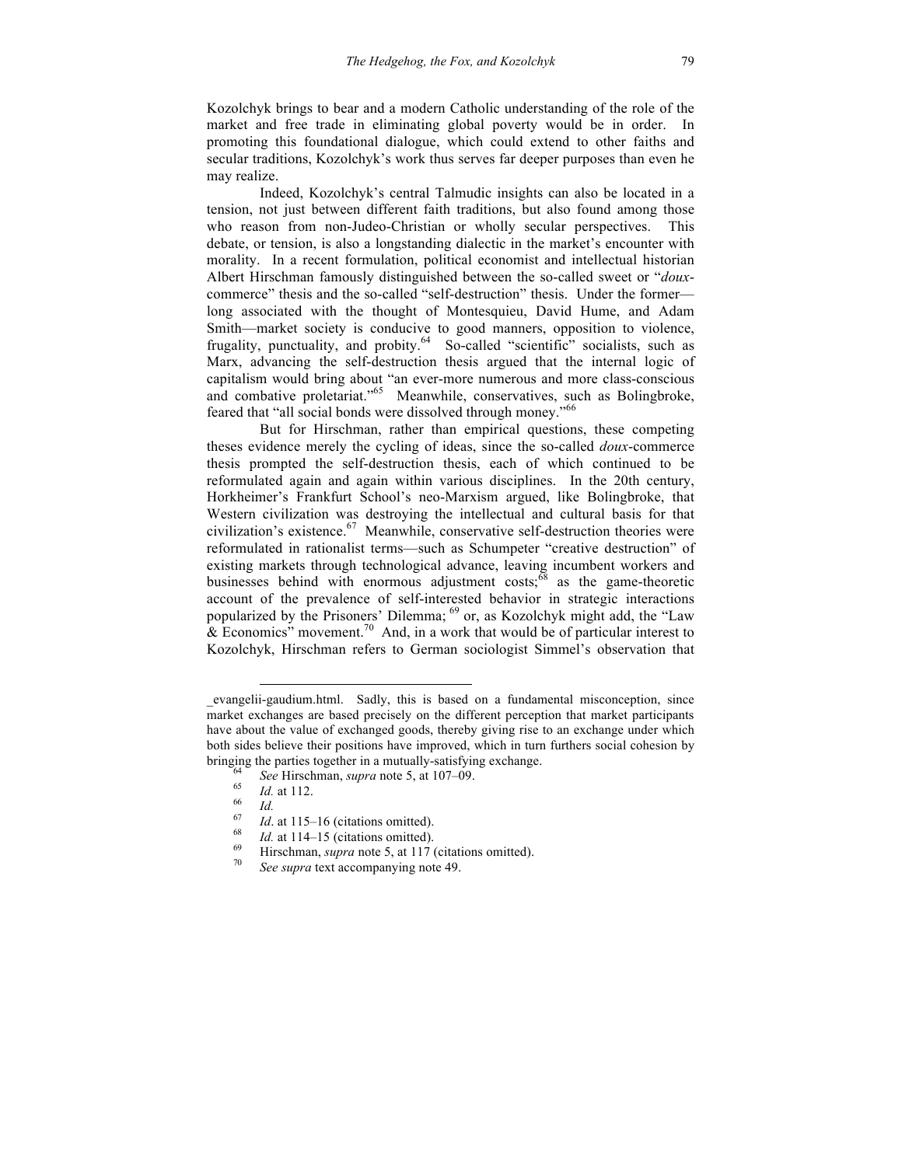Kozolchyk brings to bear and a modern Catholic understanding of the role of the market and free trade in eliminating global poverty would be in order. In promoting this foundational dialogue, which could extend to other faiths and secular traditions, Kozolchyk's work thus serves far deeper purposes than even he may realize.

Indeed, Kozolchyk's central Talmudic insights can also be located in a tension, not just between different faith traditions, but also found among those who reason from non-Judeo-Christian or wholly secular perspectives. This debate, or tension, is also a longstanding dialectic in the market's encounter with morality. In a recent formulation, political economist and intellectual historian Albert Hirschman famously distinguished between the so-called sweet or "*doux*commerce" thesis and the so-called "self-destruction" thesis. Under the former long associated with the thought of Montesquieu, David Hume, and Adam Smith—market society is conducive to good manners, opposition to violence, frugality, punctuality, and probity.<sup>64</sup> So-called "scientific" socialists, such as Marx, advancing the self-destruction thesis argued that the internal logic of capitalism would bring about "an ever-more numerous and more class-conscious and combative proletariat."<sup>65</sup> Meanwhile, conservatives, such as Bolingbroke, feared that "all social bonds were dissolved through money."<sup>66</sup>

But for Hirschman, rather than empirical questions, these competing theses evidence merely the cycling of ideas, since the so-called *doux*-commerce thesis prompted the self-destruction thesis, each of which continued to be reformulated again and again within various disciplines. In the 20th century, Horkheimer's Frankfurt School's neo-Marxism argued, like Bolingbroke, that Western civilization was destroying the intellectual and cultural basis for that civilization's existence. $67$  Meanwhile, conservative self-destruction theories were reformulated in rationalist terms—such as Schumpeter "creative destruction" of existing markets through technological advance, leaving incumbent workers and businesses behind with enormous adjustment  $costs$ ;<sup> $\delta\delta$ </sup> as the game-theoretic account of the prevalence of self-interested behavior in strategic interactions popularized by the Prisoners' Dilemma; <sup>69</sup> or, as Kozolchyk might add, the "Law  $\&$  Economics" movement.<sup>70</sup> And, in a work that would be of particular interest to Kozolchyk, Hirschman refers to German sociologist Simmel's observation that

 $\overline{a}$ 

\_evangelii-gaudium.html. Sadly, this is based on a fundamental misconception, since market exchanges are based precisely on the different perception that market participants have about the value of exchanged goods, thereby giving rise to an exchange under which both sides believe their positions have improved, which in turn furthers social cohesion by bringing the parties together in a mutually-satisfying exchange.<br>
<sup>64</sup> See Hirschman, *supra* note 5, at 107–09.<br>
<sup>65</sup> *Id.* at 112.<br>
<sup>66</sup> *Id.* at 115–16 (citations omitted).<br>
<sup>68</sup> *Id.* at 114–15 (citations omitted).<br>
<sup></sup>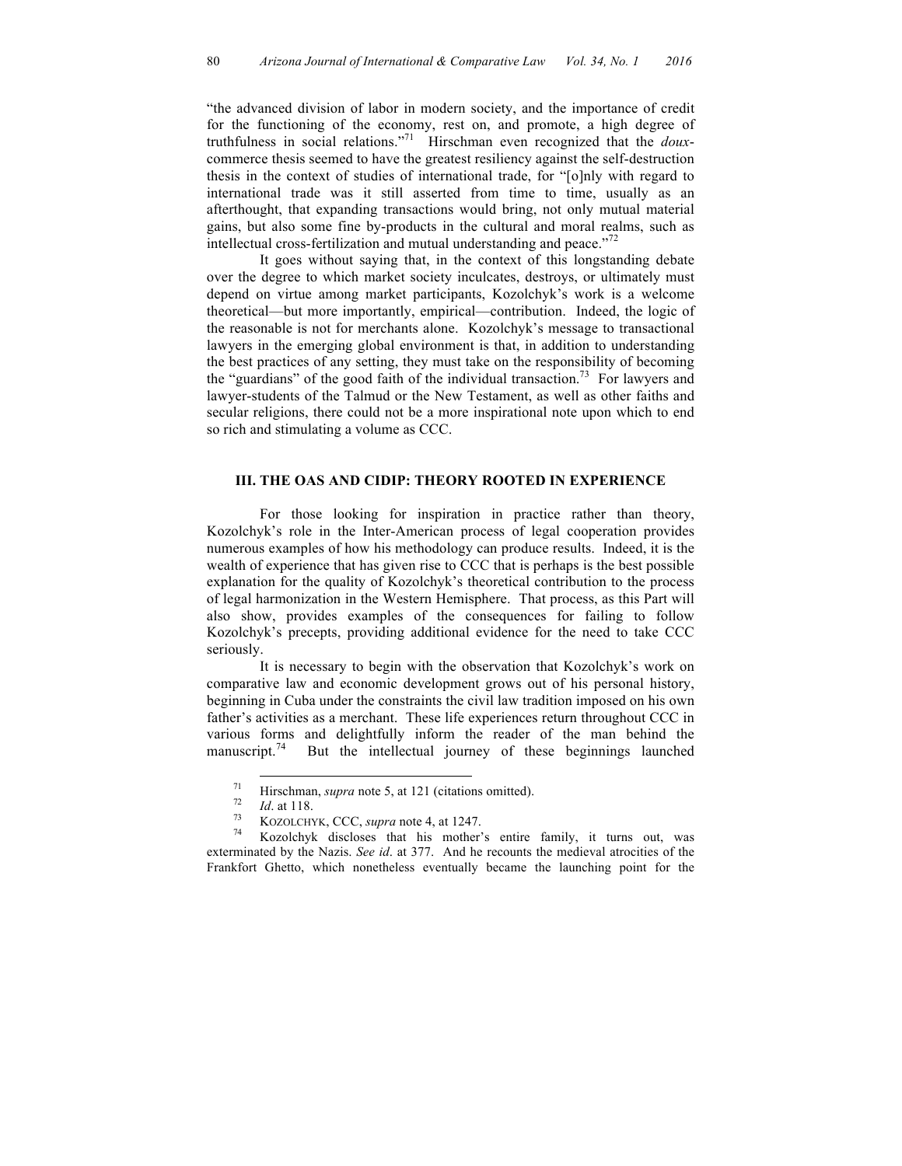"the advanced division of labor in modern society, and the importance of credit for the functioning of the economy, rest on, and promote, a high degree of truthfulness in social relations."71 Hirschman even recognized that the *doux*commerce thesis seemed to have the greatest resiliency against the self-destruction thesis in the context of studies of international trade, for "[o]nly with regard to international trade was it still asserted from time to time, usually as an afterthought, that expanding transactions would bring, not only mutual material gains, but also some fine by-products in the cultural and moral realms, such as intellectual cross-fertilization and mutual understanding and peace."<sup>72</sup>

It goes without saying that, in the context of this longstanding debate over the degree to which market society inculcates, destroys, or ultimately must depend on virtue among market participants, Kozolchyk's work is a welcome theoretical—but more importantly, empirical—contribution. Indeed, the logic of the reasonable is not for merchants alone. Kozolchyk's message to transactional lawyers in the emerging global environment is that, in addition to understanding the best practices of any setting, they must take on the responsibility of becoming the "guardians" of the good faith of the individual transaction.<sup>73</sup> For lawyers and lawyer-students of the Talmud or the New Testament, as well as other faiths and secular religions, there could not be a more inspirational note upon which to end so rich and stimulating a volume as CCC.

## **III. THE OAS AND CIDIP: THEORY ROOTED IN EXPERIENCE**

For those looking for inspiration in practice rather than theory, Kozolchyk's role in the Inter-American process of legal cooperation provides numerous examples of how his methodology can produce results. Indeed, it is the wealth of experience that has given rise to CCC that is perhaps is the best possible explanation for the quality of Kozolchyk's theoretical contribution to the process of legal harmonization in the Western Hemisphere. That process, as this Part will also show, provides examples of the consequences for failing to follow Kozolchyk's precepts, providing additional evidence for the need to take CCC seriously.

It is necessary to begin with the observation that Kozolchyk's work on comparative law and economic development grows out of his personal history, beginning in Cuba under the constraints the civil law tradition imposed on his own father's activities as a merchant. These life experiences return throughout CCC in various forms and delightfully inform the reader of the man behind the manuscript.<sup>74</sup> But the intellectual journey of these beginnings launched

<sup>&</sup>lt;sup>71</sup> Hirschman, *supra* note 5, at 121 (citations omitted).<br>
<sup>72</sup> *Id.* at 118.<br>
<sup>73</sup> Kozolchyk, CCC, *supra* note 4, at 1247.<br>
<sup>74</sup> Kozolchyk discloses that his mother's entire family, it turns out, was exterminated by the Nazis. *See id*. at 377. And he recounts the medieval atrocities of the Frankfort Ghetto, which nonetheless eventually became the launching point for the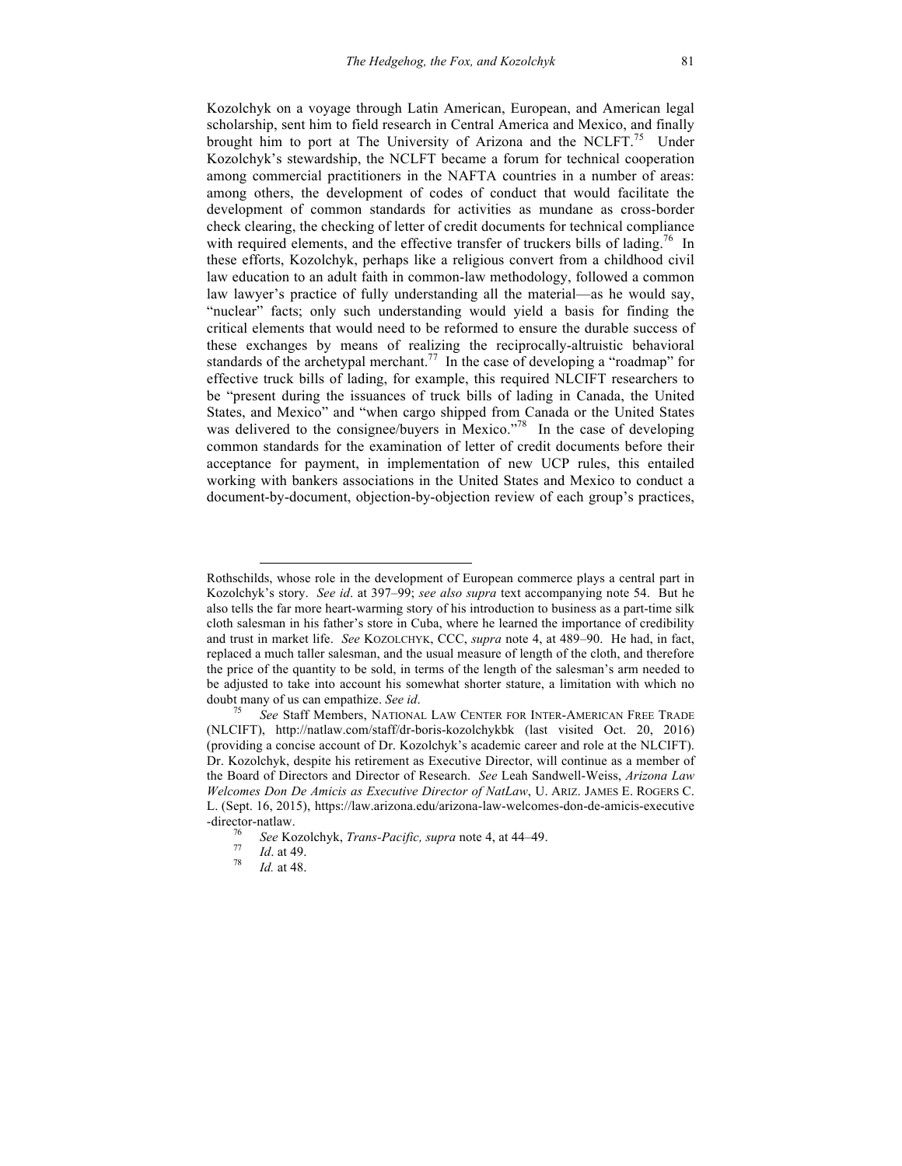Kozolchyk on a voyage through Latin American, European, and American legal scholarship, sent him to field research in Central America and Mexico, and finally brought him to port at The University of Arizona and the NCLFT.<sup>75</sup> Under Kozolchyk's stewardship, the NCLFT became a forum for technical cooperation among commercial practitioners in the NAFTA countries in a number of areas: among others, the development of codes of conduct that would facilitate the development of common standards for activities as mundane as cross-border check clearing, the checking of letter of credit documents for technical compliance with required elements, and the effective transfer of truckers bills of lading.<sup>76</sup> In these efforts, Kozolchyk, perhaps like a religious convert from a childhood civil law education to an adult faith in common-law methodology, followed a common law lawyer's practice of fully understanding all the material—as he would say, "nuclear" facts; only such understanding would yield a basis for finding the critical elements that would need to be reformed to ensure the durable success of these exchanges by means of realizing the reciprocally-altruistic behavioral standards of the archetypal merchant.<sup>77</sup> In the case of developing a "roadmap" for effective truck bills of lading, for example, this required NLCIFT researchers to be "present during the issuances of truck bills of lading in Canada, the United States, and Mexico" and "when cargo shipped from Canada or the United States was delivered to the consignee/buyers in Mexico."<sup>78</sup> In the case of developing common standards for the examination of letter of credit documents before their acceptance for payment, in implementation of new UCP rules, this entailed working with bankers associations in the United States and Mexico to conduct a document-by-document, objection-by-objection review of each group's practices,

 $\overline{\phantom{a}}$ 

Rothschilds, whose role in the development of European commerce plays a central part in Kozolchyk's story. *See id*. at 397–99; *see also supra* text accompanying note 54. But he also tells the far more heart-warming story of his introduction to business as a part-time silk cloth salesman in his father's store in Cuba, where he learned the importance of credibility and trust in market life. *See* KOZOLCHYK, CCC, *supra* note 4, at 489–90. He had, in fact, replaced a much taller salesman, and the usual measure of length of the cloth, and therefore the price of the quantity to be sold, in terms of the length of the salesman's arm needed to be adjusted to take into account his somewhat shorter stature, a limitation with which no doubt many of us can empathize. *See id.* 75 *See* Staff Members, NATIONAL LAW CENTER FOR INTER-AMERICAN FREE TRADE

<sup>(</sup>NLCIFT), http://natlaw.com/staff/dr-boris-kozolchykbk (last visited Oct. 20, 2016) (providing a concise account of Dr. Kozolchyk's academic career and role at the NLCIFT). Dr. Kozolchyk, despite his retirement as Executive Director, will continue as a member of the Board of Directors and Director of Research. *See* Leah Sandwell-Weiss, *Arizona Law Welcomes Don De Amicis as Executive Director of NatLaw*, U. ARIZ. JAMES E. ROGERS C. L. (Sept. 16, 2015), https://law.arizona.edu/arizona-law-welcomes-don-de-amicis-executive -director-natlaw. <sup>76</sup> *See* Kozolchyk, *Trans-Pacific, supra* note 4, at 44–49.<sup>77</sup> *Id*. at 49. 78 *Id.* at 48.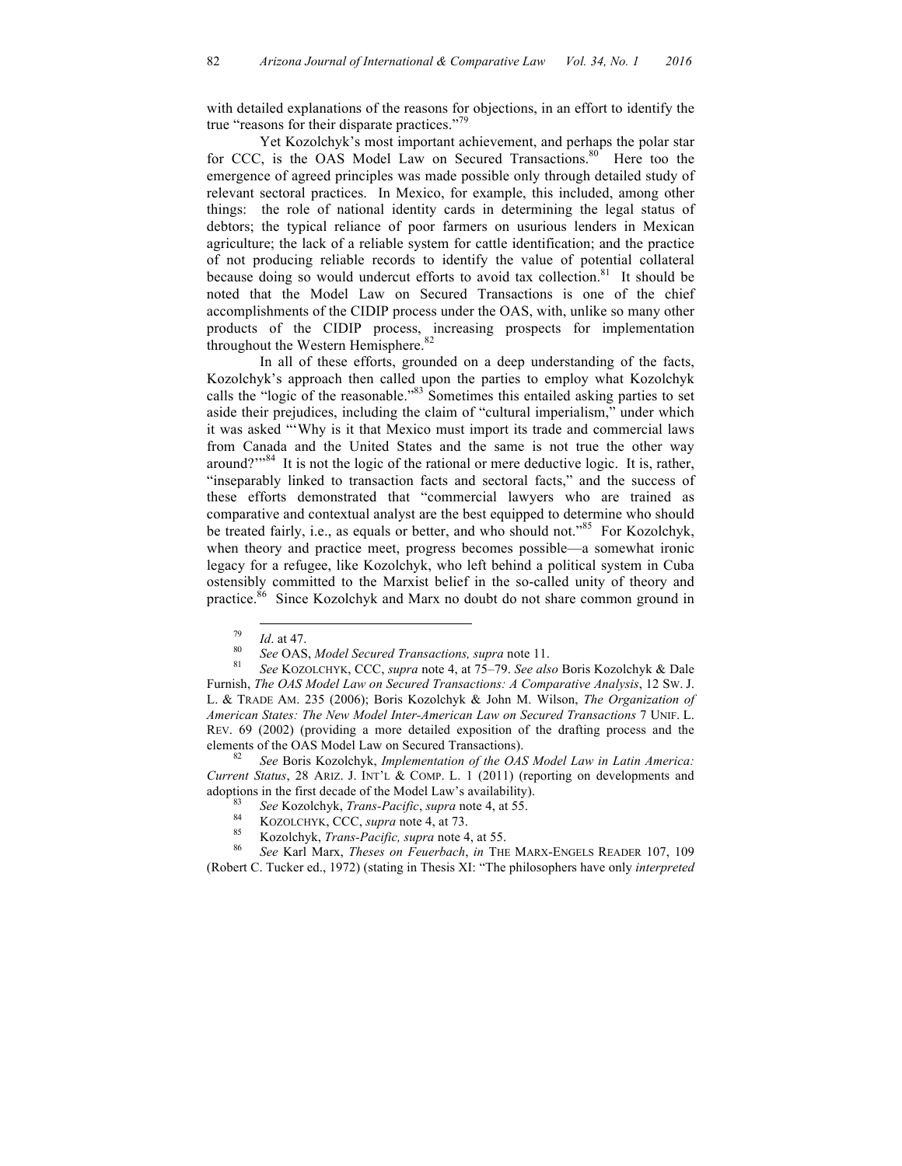with detailed explanations of the reasons for objections, in an effort to identify the true "reasons for their disparate practices."<sup>79</sup>

Yet Kozolchyk's most important achievement, and perhaps the polar star for CCC, is the OAS Model Law on Secured Transactions.<sup>80</sup> Here too the emergence of agreed principles was made possible only through detailed study of relevant sectoral practices. In Mexico, for example, this included, among other things: the role of national identity cards in determining the legal status of debtors; the typical reliance of poor farmers on usurious lenders in Mexican agriculture; the lack of a reliable system for cattle identification; and the practice of not producing reliable records to identify the value of potential collateral because doing so would undercut efforts to avoid tax collection.<sup>81</sup> It should be noted that the Model Law on Secured Transactions is one of the chief accomplishments of the CIDIP process under the OAS, with, unlike so many other products of the CIDIP process, increasing prospects for implementation throughout the Western Hemisphere.<sup>82</sup>

In all of these efforts, grounded on a deep understanding of the facts, Kozolchyk's approach then called upon the parties to employ what Kozolchyk calls the "logic of the reasonable."83 Sometimes this entailed asking parties to set aside their prejudices, including the claim of "cultural imperialism," under which it was asked "'Why is it that Mexico must import its trade and commercial laws from Canada and the United States and the same is not true the other way around?"<sup>84</sup> It is not the logic of the rational or mere deductive logic. It is, rather, "inseparably linked to transaction facts and sectoral facts," and the success of these efforts demonstrated that "commercial lawyers who are trained as comparative and contextual analyst are the best equipped to determine who should be treated fairly, i.e., as equals or better, and who should not."<sup>85</sup> For Kozolchyk, when theory and practice meet, progress becomes possible—a somewhat ironic legacy for a refugee, like Kozolchyk, who left behind a political system in Cuba ostensibly committed to the Marxist belief in the so-called unity of theory and practice.<sup>86</sup> Since Kozolchyk and Marx no doubt do not share common ground in

<sup>82</sup> *See* Boris Kozolchyk, *Implementation of the OAS Model Law in Latin America: Current Status*, 28 ARIZ. J. INT'L & COMP. L. 1 (2011) (reporting on developments and

- 
- 
- 

adoptions in the first decade of the Model Law's availability).<br>
<sup>83</sup> See Kozolchyk, *Trans-Pacific*, *supra* note 4, at 55.<br>
<sup>84</sup> KOZOLCHYK, CCC, *supra* note 4, at 73.<br>
<sup>85</sup> Kozolchyk, *Trans-Pacific*, *supra* note 4, at (Robert C. Tucker ed., 1972) (stating in Thesis XI: "The philosophers have only *interpreted*

<sup>79</sup> *Id*. at 47. 80 *See* OAS, *Model Secured Transactions, supra* note 11. 81 *See* KOZOLCHYK, CCC, *supra* note 4, at 75–79. *See also* Boris Kozolchyk & Dale Furnish, *The OAS Model Law on Secured Transactions: A Comparative Analysis*, 12 SW. J. L. & TRADE AM. 235 (2006); Boris Kozolchyk & John M. Wilson, *The Organization of American States: The New Model Inter-American Law on Secured Transactions* 7 UNIF. L. REV. 69 (2002) (providing a more detailed exposition of the drafting process and the elements of the OAS Model Law on Secured Transactions).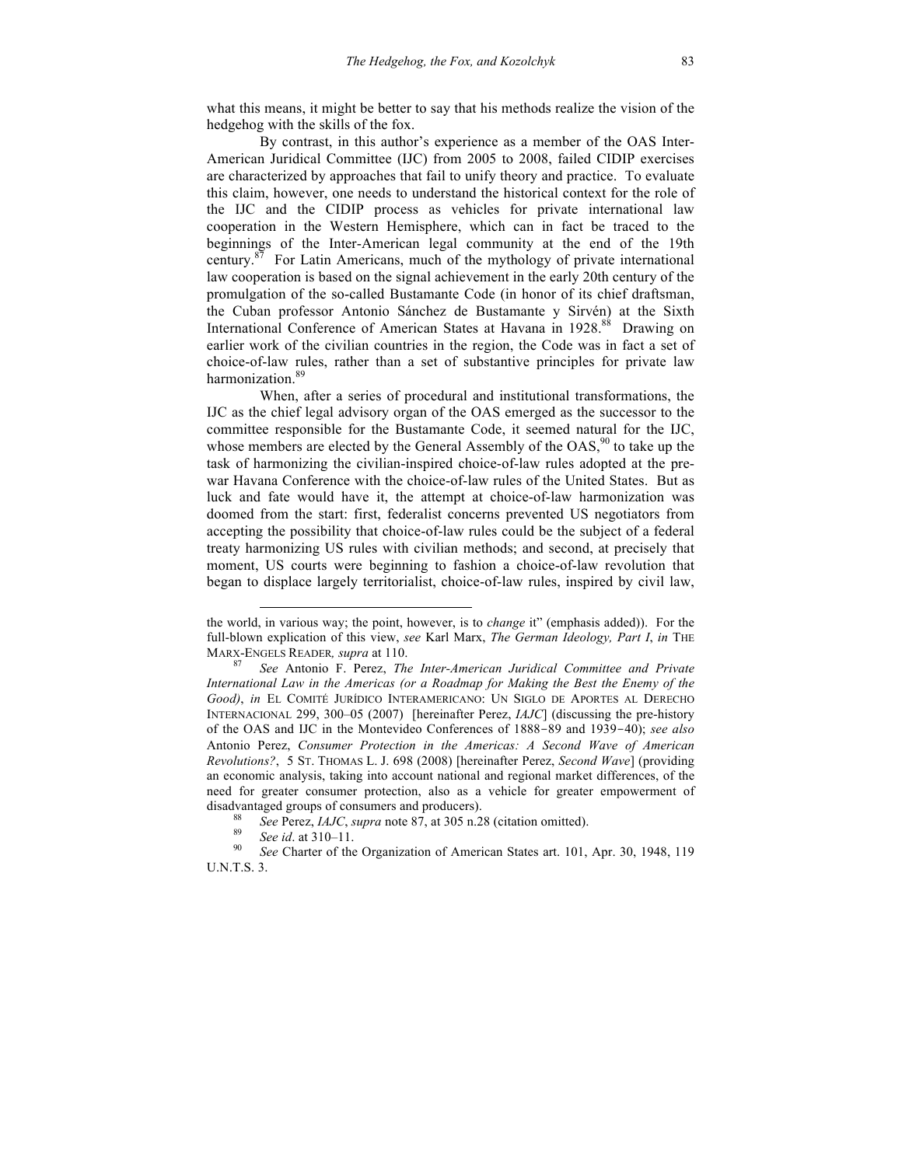what this means, it might be better to say that his methods realize the vision of the hedgehog with the skills of the fox.

By contrast, in this author's experience as a member of the OAS Inter-American Juridical Committee (IJC) from 2005 to 2008, failed CIDIP exercises are characterized by approaches that fail to unify theory and practice. To evaluate this claim, however, one needs to understand the historical context for the role of the IJC and the CIDIP process as vehicles for private international law cooperation in the Western Hemisphere, which can in fact be traced to the beginnings of the Inter-American legal community at the end of the 19th century.<sup>87</sup> For Latin Americans, much of the mythology of private international law cooperation is based on the signal achievement in the early 20th century of the promulgation of the so-called Bustamante Code (in honor of its chief draftsman, the Cuban professor Antonio Sánchez de Bustamante y Sirvén) at the Sixth International Conference of American States at Havana in 1928.88 Drawing on earlier work of the civilian countries in the region, the Code was in fact a set of choice-of-law rules, rather than a set of substantive principles for private law harmonization.<sup>89</sup>

When, after a series of procedural and institutional transformations, the IJC as the chief legal advisory organ of the OAS emerged as the successor to the committee responsible for the Bustamante Code, it seemed natural for the IJC, whose members are elected by the General Assembly of the  $OAS$ ,<sup>90</sup> to take up the task of harmonizing the civilian-inspired choice-of-law rules adopted at the prewar Havana Conference with the choice-of-law rules of the United States. But as luck and fate would have it, the attempt at choice-of-law harmonization was doomed from the start: first, federalist concerns prevented US negotiators from accepting the possibility that choice-of-law rules could be the subject of a federal treaty harmonizing US rules with civilian methods; and second, at precisely that moment, US courts were beginning to fashion a choice-of-law revolution that began to displace largely territorialist, choice-of-law rules, inspired by civil law,

 $\overline{a}$ 

the world, in various way; the point, however, is to *change* it" (emphasis added)). For the full-blown explication of this view, *see* Karl Marx, *The German Ideology, Part I*, *in* THE

MARX-ENGELS READER*, supra* at 110. 87 *See* Antonio F. Perez, *The Inter-American Juridical Committee and Private International Law in the Americas (or a Roadmap for Making the Best the Enemy of the Good)*, *in* EL COMITÉ JURÍDICO INTERAMERICANO: UN SIGLO DE APORTES AL DERECHO INTERNACIONAL 299, 300–05 (2007) [hereinafter Perez, *IAJC*] (discussing the pre-history of the OAS and IJC in the Montevideo Conferences of 1888-89 and 1939-40); *see also* Antonio Perez, *Consumer Protection in the Americas: A Second Wave of American Revolutions?*, 5 ST. THOMAS L. J. 698 (2008) [hereinafter Perez, *Second Wave*] (providing an economic analysis, taking into account national and regional market differences, of the need for greater consumer protection, also as a vehicle for greater empowerment of disadvantaged groups of consumers and producers).<br><sup>88</sup> See Perez, *IAJC*, *supra* note 87, at 305 n.28 (citation omitted).<br><sup>89</sup> See id. at 310–11.<br><sup>90</sup> See Charter of the Organization of American States art. 101, Apr. 30,

U.N.T.S. 3.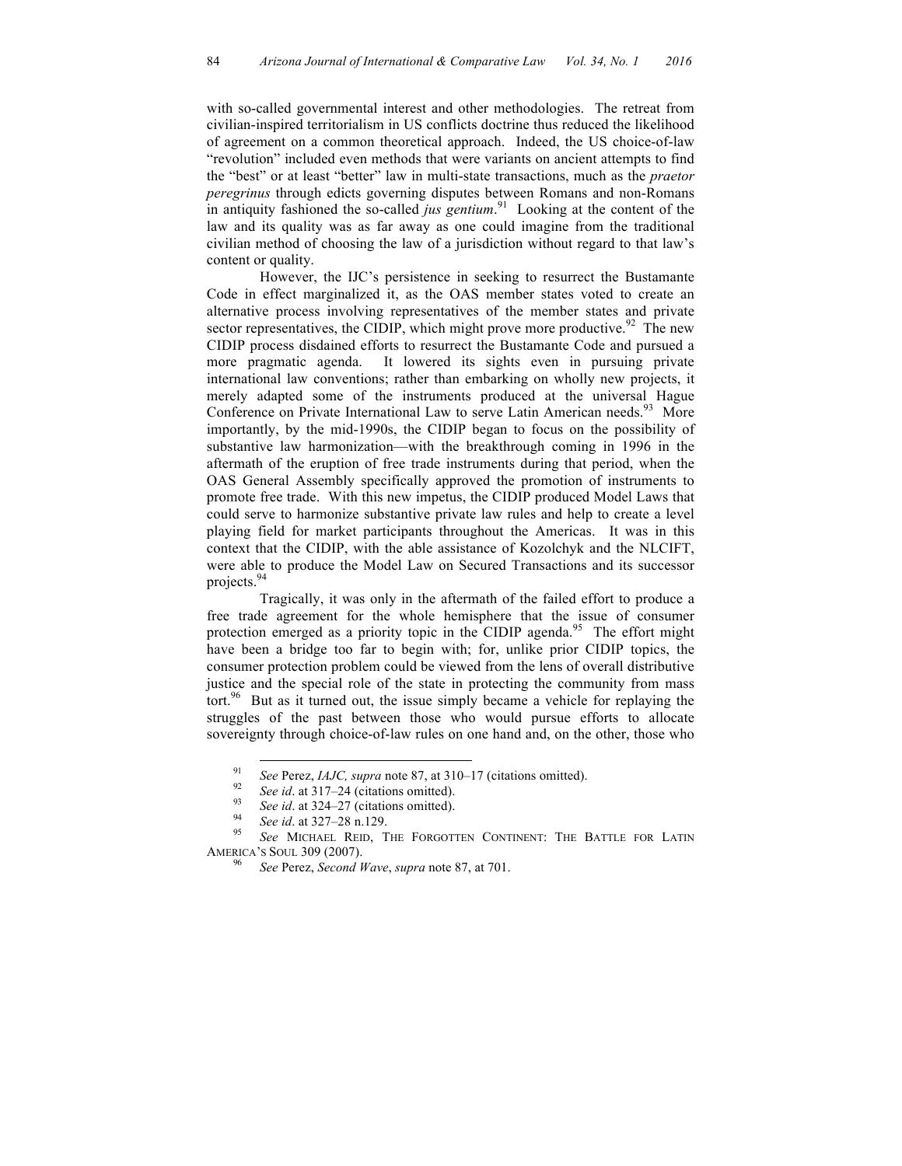with so-called governmental interest and other methodologies. The retreat from civilian-inspired territorialism in US conflicts doctrine thus reduced the likelihood of agreement on a common theoretical approach. Indeed, the US choice-of-law "revolution" included even methods that were variants on ancient attempts to find the "best" or at least "better" law in multi-state transactions, much as the *praetor peregrinus* through edicts governing disputes between Romans and non-Romans in antiquity fashioned the so-called *jus gentium*. 91 Looking at the content of the law and its quality was as far away as one could imagine from the traditional civilian method of choosing the law of a jurisdiction without regard to that law's content or quality.

However, the IJC's persistence in seeking to resurrect the Bustamante Code in effect marginalized it, as the OAS member states voted to create an alternative process involving representatives of the member states and private sector representatives, the CIDIP, which might prove more productive.<sup>92</sup> The new CIDIP process disdained efforts to resurrect the Bustamante Code and pursued a more pragmatic agenda. It lowered its sights even in pursuing private international law conventions; rather than embarking on wholly new projects, it merely adapted some of the instruments produced at the universal Hague Conference on Private International Law to serve Latin American needs.<sup>93</sup> More importantly, by the mid-1990s, the CIDIP began to focus on the possibility of substantive law harmonization—with the breakthrough coming in 1996 in the aftermath of the eruption of free trade instruments during that period, when the OAS General Assembly specifically approved the promotion of instruments to promote free trade. With this new impetus, the CIDIP produced Model Laws that could serve to harmonize substantive private law rules and help to create a level playing field for market participants throughout the Americas. It was in this context that the CIDIP, with the able assistance of Kozolchyk and the NLCIFT, were able to produce the Model Law on Secured Transactions and its successor projects. 94

Tragically, it was only in the aftermath of the failed effort to produce a free trade agreement for the whole hemisphere that the issue of consumer protection emerged as a priority topic in the CIDIP agenda.<sup>95</sup> The effort might have been a bridge too far to begin with; for, unlike prior CIDIP topics, the consumer protection problem could be viewed from the lens of overall distributive justice and the special role of the state in protecting the community from mass tort.<sup>96</sup> But as it turned out, the issue simply became a vehicle for replaying the struggles of the past between those who would pursue efforts to allocate sovereignty through choice-of-law rules on one hand and, on the other, those who

- 
- 
- 

<sup>&</sup>lt;sup>91</sup> See Perez, *IAJC*, *supra* note 87, at 310–17 (citations omitted).<br>
<sup>92</sup> See id. at 317–24 (citations omitted).<br>
<sup>93</sup> See id. at 324–27 (citations omitted).<br>
<sup>94</sup> See id. at 327–28 n.129.<br>
<sup>95</sup> See MICHAEL REID, THE AMERICA'S SOUL 309 (2007). 96 *See* Perez, *Second Wave*, *supra* note 87, at 701.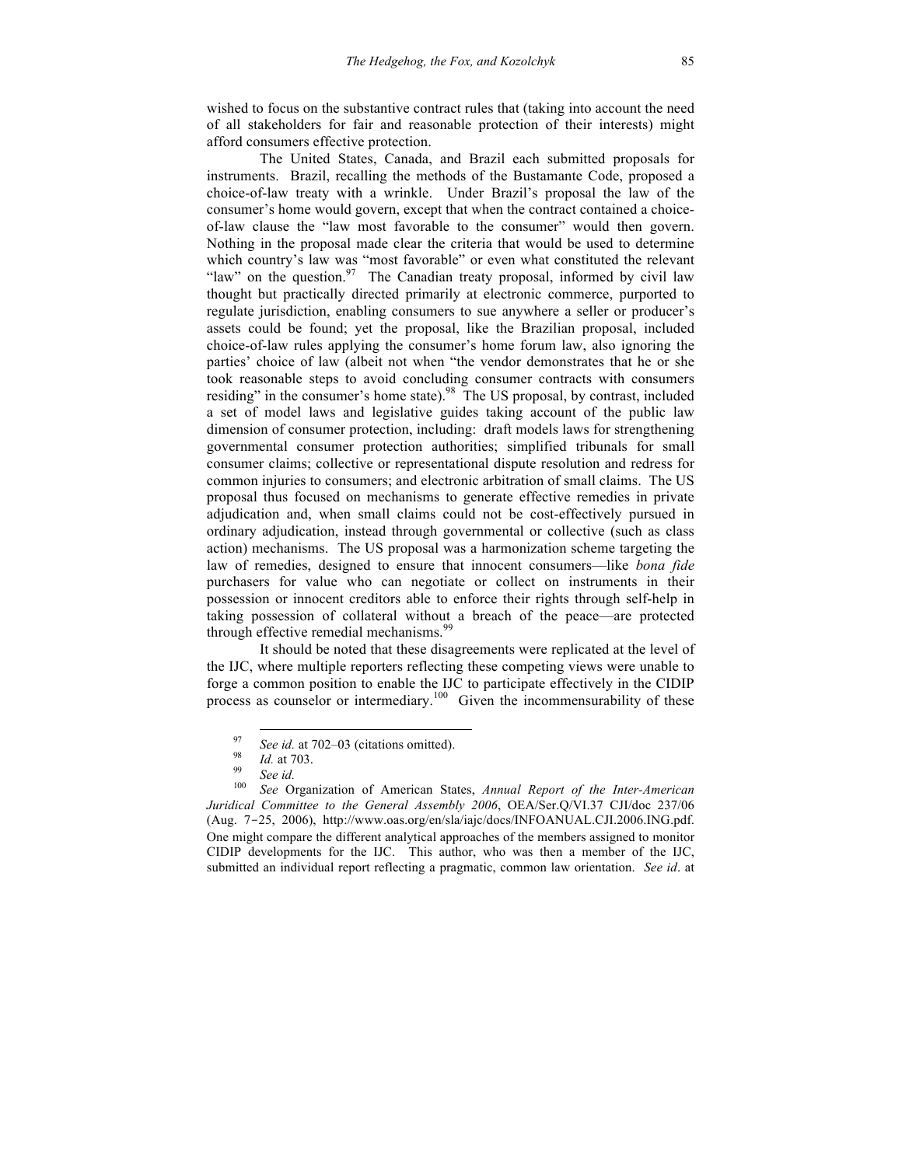wished to focus on the substantive contract rules that (taking into account the need of all stakeholders for fair and reasonable protection of their interests) might afford consumers effective protection.

The United States, Canada, and Brazil each submitted proposals for instruments. Brazil, recalling the methods of the Bustamante Code, proposed a choice-of-law treaty with a wrinkle. Under Brazil's proposal the law of the consumer's home would govern, except that when the contract contained a choiceof-law clause the "law most favorable to the consumer" would then govern. Nothing in the proposal made clear the criteria that would be used to determine which country's law was "most favorable" or even what constituted the relevant "law" on the question. $97$  The Canadian treaty proposal, informed by civil law thought but practically directed primarily at electronic commerce, purported to regulate jurisdiction, enabling consumers to sue anywhere a seller or producer's assets could be found; yet the proposal, like the Brazilian proposal, included choice-of-law rules applying the consumer's home forum law, also ignoring the parties' choice of law (albeit not when "the vendor demonstrates that he or she took reasonable steps to avoid concluding consumer contracts with consumers residing" in the consumer's home state).<sup>98</sup> The US proposal, by contrast, included a set of model laws and legislative guides taking account of the public law dimension of consumer protection, including: draft models laws for strengthening governmental consumer protection authorities; simplified tribunals for small consumer claims; collective or representational dispute resolution and redress for common injuries to consumers; and electronic arbitration of small claims. The US proposal thus focused on mechanisms to generate effective remedies in private adjudication and, when small claims could not be cost-effectively pursued in ordinary adjudication, instead through governmental or collective (such as class action) mechanisms. The US proposal was a harmonization scheme targeting the law of remedies, designed to ensure that innocent consumers—like *bona fide* purchasers for value who can negotiate or collect on instruments in their possession or innocent creditors able to enforce their rights through self-help in taking possession of collateral without a breach of the peace—are protected through effective remedial mechanisms.<sup>99</sup>

It should be noted that these disagreements were replicated at the level of the IJC, where multiple reporters reflecting these competing views were unable to forge a common position to enable the IJC to participate effectively in the CIDIP process as counselor or intermediary.<sup>100</sup> Given the incommensurability of these

<sup>97</sup> *See id.* at 702–03 (citations omitted). <sup>98</sup> *Id.* at 703. <sup>99</sup> *See id.* <sup>100</sup> *See* Organization of American States, *Annual Report of the Inter-American Juridical Committee to the General Assembly 2006*, OEA/Ser.Q/VI.37 CJI/doc 237/06 (Aug. 7-25, 2006), http://www.oas.org/en/sla/iajc/docs/INFOANUAL.CJI.2006.ING.pdf. One might compare the different analytical approaches of the members assigned to monitor CIDIP developments for the IJC. This author, who was then a member of the IJC, submitted an individual report reflecting a pragmatic, common law orientation. *See id*. at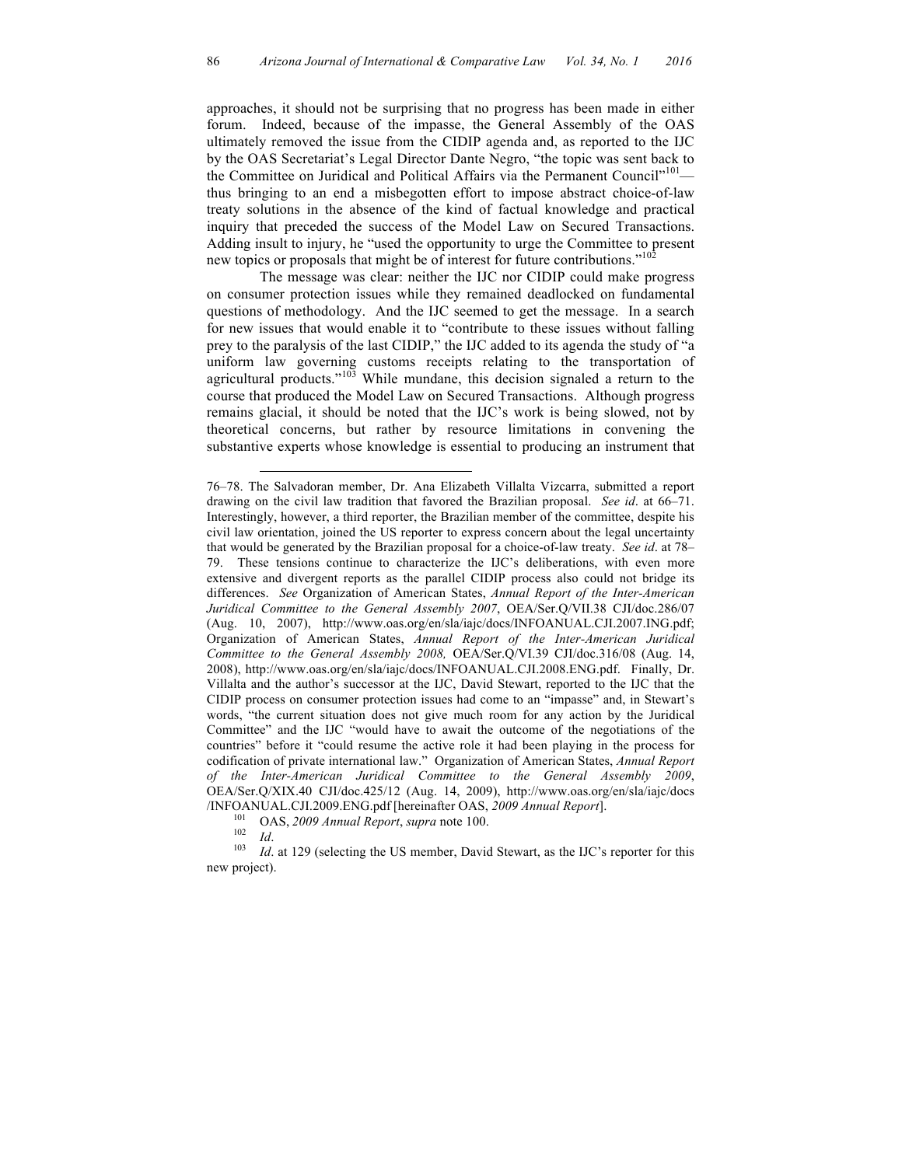approaches, it should not be surprising that no progress has been made in either forum. Indeed, because of the impasse, the General Assembly of the OAS ultimately removed the issue from the CIDIP agenda and, as reported to the IJC by the OAS Secretariat's Legal Director Dante Negro, "the topic was sent back to the Committee on Juridical and Political Affairs via the Permanent Council"<sup>101</sup>thus bringing to an end a misbegotten effort to impose abstract choice-of-law treaty solutions in the absence of the kind of factual knowledge and practical inquiry that preceded the success of the Model Law on Secured Transactions. Adding insult to injury, he "used the opportunity to urge the Committee to present new topics or proposals that might be of interest for future contributions."<sup>10</sup>

The message was clear: neither the IJC nor CIDIP could make progress on consumer protection issues while they remained deadlocked on fundamental questions of methodology. And the IJC seemed to get the message. In a search for new issues that would enable it to "contribute to these issues without falling prey to the paralysis of the last CIDIP," the IJC added to its agenda the study of "a uniform law governing customs receipts relating to the transportation of agricultural products."<sup>103</sup> While mundane, this decision signaled a return to the course that produced the Model Law on Secured Transactions. Although progress remains glacial, it should be noted that the IJC's work is being slowed, not by theoretical concerns, but rather by resource limitations in convening the substantive experts whose knowledge is essential to producing an instrument that

 $\overline{a}$ 

new project).

<sup>76–78.</sup> The Salvadoran member, Dr. Ana Elizabeth Villalta Vizcarra, submitted a report drawing on the civil law tradition that favored the Brazilian proposal. *See id*. at 66–71. Interestingly, however, a third reporter, the Brazilian member of the committee, despite his civil law orientation, joined the US reporter to express concern about the legal uncertainty that would be generated by the Brazilian proposal for a choice-of-law treaty. *See id*. at 78– 79. These tensions continue to characterize the IJC's deliberations, with even more extensive and divergent reports as the parallel CIDIP process also could not bridge its differences. *See* Organization of American States, *Annual Report of the Inter-American Juridical Committee to the General Assembly 2007*, OEA/Ser.Q/VII.38 CJI/doc.286/07 (Aug. 10, 2007), http://www.oas.org/en/sla/iajc/docs/INFOANUAL.CJI.2007.ING.pdf; Organization of American States, *Annual Report of the Inter-American Juridical Committee to the General Assembly 2008,* OEA/Ser.Q/VI.39 CJI/doc.316/08 (Aug. 14, 2008), http://www.oas.org/en/sla/iajc/docs/INFOANUAL.CJI.2008.ENG.pdf. Finally, Dr. Villalta and the author's successor at the IJC, David Stewart, reported to the IJC that the CIDIP process on consumer protection issues had come to an "impasse" and, in Stewart's words, "the current situation does not give much room for any action by the Juridical Committee" and the IJC "would have to await the outcome of the negotiations of the countries" before it "could resume the active role it had been playing in the process for codification of private international law." Organization of American States, *Annual Report of the Inter-American Juridical Committee to the General Assembly 2009*, OEA/Ser.Q/XIX.40 CJI/doc.425/12 (Aug. 14, 2009), http://www.oas.org/en/sla/iajc/docs /INFOANUAL.CJI.2009.ENG.pdf [hereinafter OAS, 2009 Annual Report].<br><sup>101</sup> OAS, 2009 Annual Report, supra note 100.<br><sup>102</sup> Id.<br><sup>103</sup> Id. at 129 (selecting the US member, David Stewart, as the IJC's reporter for this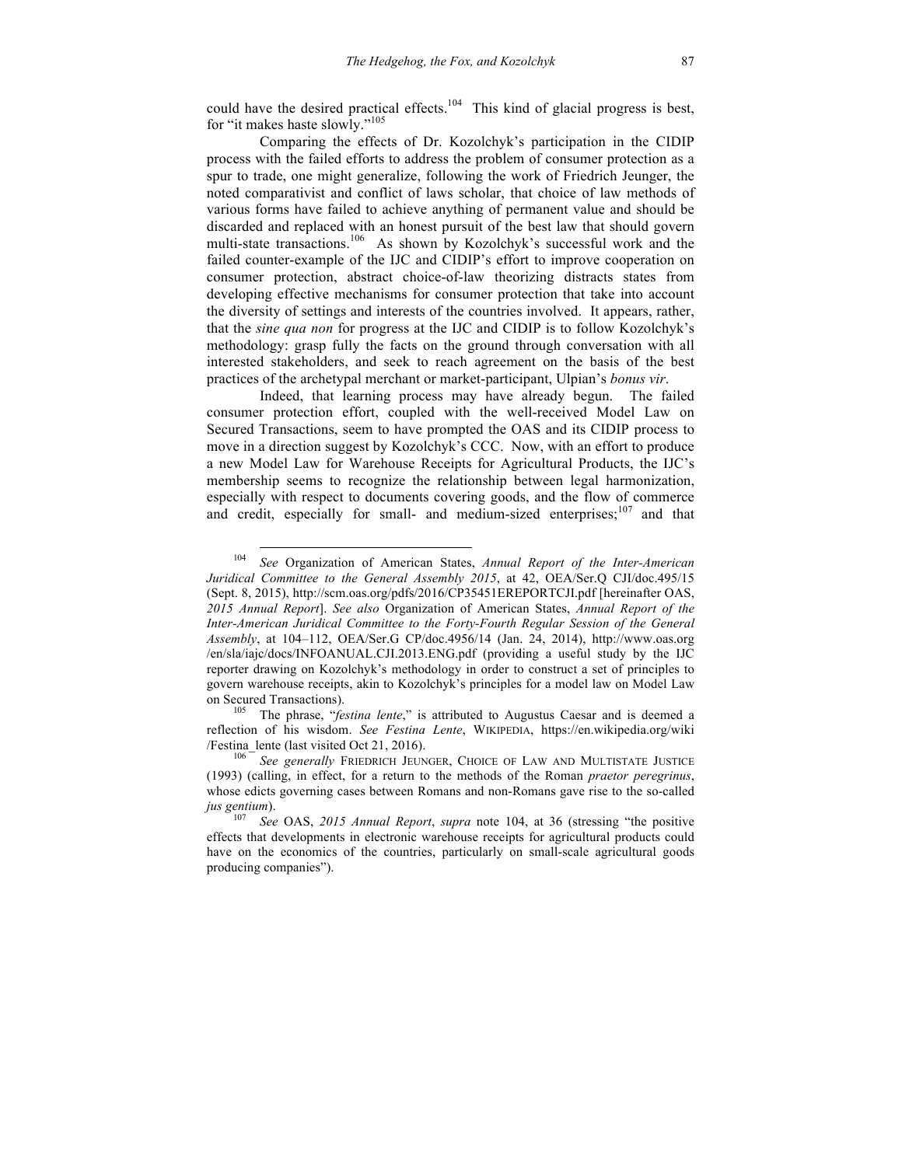could have the desired practical effects.<sup>104</sup> This kind of glacial progress is best, for "it makes haste slowly."<sup>105</sup>

Comparing the effects of Dr. Kozolchyk's participation in the CIDIP process with the failed efforts to address the problem of consumer protection as a spur to trade, one might generalize, following the work of Friedrich Jeunger, the noted comparativist and conflict of laws scholar, that choice of law methods of various forms have failed to achieve anything of permanent value and should be discarded and replaced with an honest pursuit of the best law that should govern multi-state transactions.<sup>106</sup> As shown by Kozolchyk's successful work and the failed counter-example of the IJC and CIDIP's effort to improve cooperation on consumer protection, abstract choice-of-law theorizing distracts states from developing effective mechanisms for consumer protection that take into account the diversity of settings and interests of the countries involved. It appears, rather, that the *sine qua non* for progress at the IJC and CIDIP is to follow Kozolchyk's methodology: grasp fully the facts on the ground through conversation with all interested stakeholders, and seek to reach agreement on the basis of the best practices of the archetypal merchant or market-participant, Ulpian's *bonus vir*.

Indeed, that learning process may have already begun. The failed consumer protection effort, coupled with the well-received Model Law on Secured Transactions, seem to have prompted the OAS and its CIDIP process to move in a direction suggest by Kozolchyk's CCC. Now, with an effort to produce a new Model Law for Warehouse Receipts for Agricultural Products, the IJC's membership seems to recognize the relationship between legal harmonization, especially with respect to documents covering goods, and the flow of commerce and credit, especially for small- and medium-sized enterprises;<sup>107</sup> and that

 <sup>104</sup> *See* Organization of American States, *Annual Report of the Inter-American Juridical Committee to the General Assembly 2015*, at 42, OEA/Ser.Q CJI/doc.495/15 (Sept. 8, 2015), http://scm.oas.org/pdfs/2016/CP35451EREPORTCJI.pdf [hereinafter OAS, *2015 Annual Report*]. *See also* Organization of American States, *Annual Report of the Inter-American Juridical Committee to the Forty-Fourth Regular Session of the General Assembly*, at 104–112, OEA/Ser.G CP/doc.4956/14 (Jan. 24, 2014), http://www.oas.org /en/sla/iajc/docs/INFOANUAL.CJI.2013.ENG.pdf (providing a useful study by the IJC reporter drawing on Kozolchyk's methodology in order to construct a set of principles to govern warehouse receipts, akin to Kozolchyk's principles for a model law on Model Law on Secured Transactions). 105 The phrase, "*festina lente*," is attributed to Augustus Caesar and is deemed a

reflection of his wisdom. *See Festina Lente*, WIKIPEDIA, https://en.wikipedia.org/wiki /Festina\_lente (last visited Oct 21, 2016). 106 *See generally* FRIEDRICH JEUNGER, CHOICE OF LAW AND MULTISTATE JUSTICE

<sup>(1993)</sup> (calling, in effect, for a return to the methods of the Roman *praetor peregrinus*, whose edicts governing cases between Romans and non-Romans gave rise to the so-called *jus gentium*).<br><sup>107</sup> *See* OAS, 2015 *Annual Report, supra* note 104, at 36 (stressing "the positive

effects that developments in electronic warehouse receipts for agricultural products could have on the economics of the countries, particularly on small-scale agricultural goods producing companies").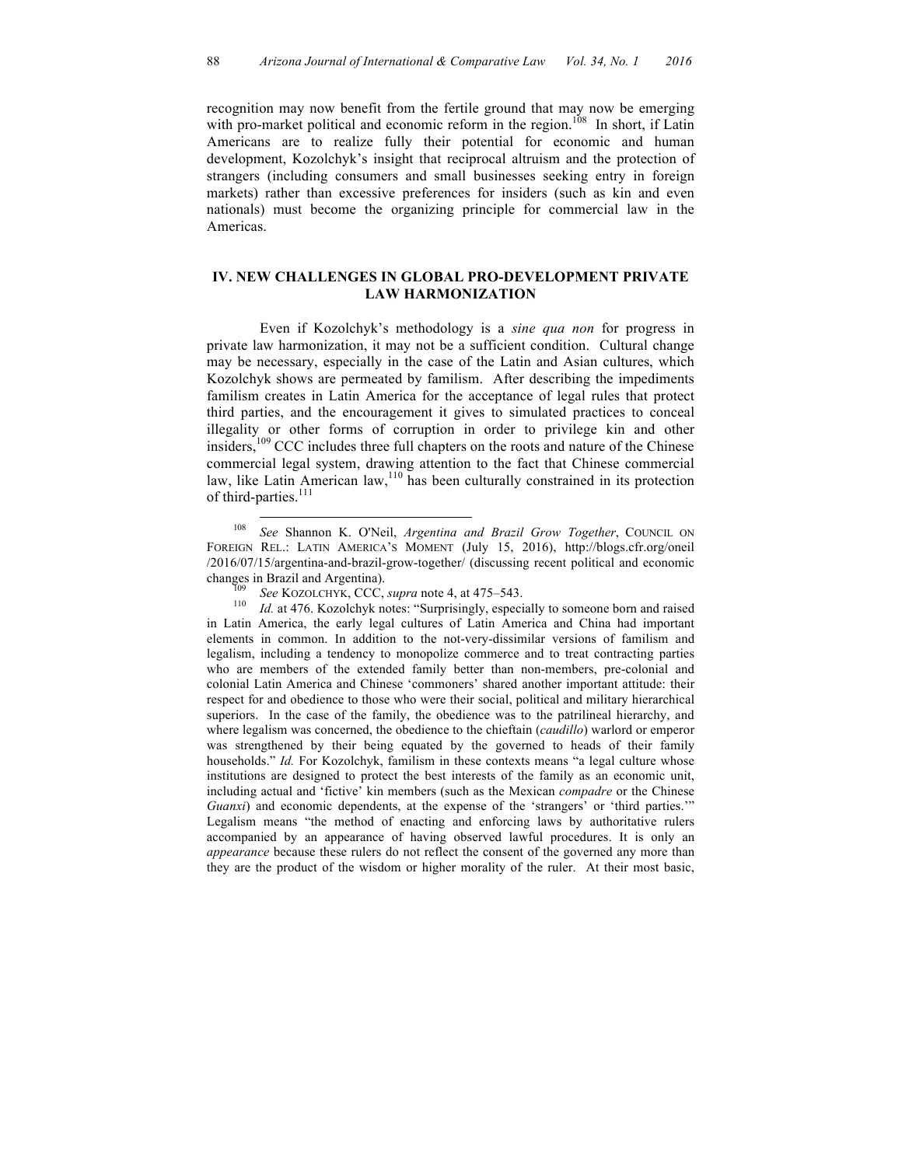recognition may now benefit from the fertile ground that may now be emerging with pro-market political and economic reform in the region.<sup>108</sup> In short, if Latin Americans are to realize fully their potential for economic and human development, Kozolchyk's insight that reciprocal altruism and the protection of strangers (including consumers and small businesses seeking entry in foreign markets) rather than excessive preferences for insiders (such as kin and even nationals) must become the organizing principle for commercial law in the Americas.

## **IV. NEW CHALLENGES IN GLOBAL PRO-DEVELOPMENT PRIVATE LAW HARMONIZATION**

Even if Kozolchyk's methodology is a *sine qua non* for progress in private law harmonization, it may not be a sufficient condition. Cultural change may be necessary, especially in the case of the Latin and Asian cultures, which Kozolchyk shows are permeated by familism. After describing the impediments familism creates in Latin America for the acceptance of legal rules that protect third parties, and the encouragement it gives to simulated practices to conceal illegality or other forms of corruption in order to privilege kin and other insiders,<sup>109</sup> CCC includes three full chapters on the roots and nature of the Chinese commercial legal system, drawing attention to the fact that Chinese commercial law, like Latin American law,  $110$  has been culturally constrained in its protection of third-parties.<sup>111</sup>

changes in Brazil and Argentina). 109 *See* KOZOLCHYK, CCC, *supra* note 4, at 475–543. 110 *Id.* at 476. Kozolchyk notes: "Surprisingly, especially to someone born and raised in Latin America, the early legal cultures of Latin America and China had important elements in common. In addition to the not-very-dissimilar versions of familism and legalism, including a tendency to monopolize commerce and to treat contracting parties who are members of the extended family better than non-members, pre-colonial and colonial Latin America and Chinese 'commoners' shared another important attitude: their respect for and obedience to those who were their social, political and military hierarchical superiors. In the case of the family, the obedience was to the patrilineal hierarchy, and where legalism was concerned, the obedience to the chieftain (*caudillo*) warlord or emperor was strengthened by their being equated by the governed to heads of their family households." *Id.* For Kozolchyk, familism in these contexts means "a legal culture whose institutions are designed to protect the best interests of the family as an economic unit, including actual and 'fictive' kin members (such as the Mexican *compadre* or the Chinese *Guanxi*) and economic dependents, at the expense of the 'strangers' or 'third parties.'" Legalism means "the method of enacting and enforcing laws by authoritative rulers accompanied by an appearance of having observed lawful procedures. It is only an *appearance* because these rulers do not reflect the consent of the governed any more than they are the product of the wisdom or higher morality of the ruler. At their most basic,

 <sup>108</sup> *See* Shannon K. O'Neil, *Argentina and Brazil Grow Together*, COUNCIL ON FOREIGN REL.: LATIN AMERICA'S MOMENT (July 15, 2016), http://blogs.cfr.org/oneil /2016/07/15/argentina-and-brazil-grow-together/ (discussing recent political and economic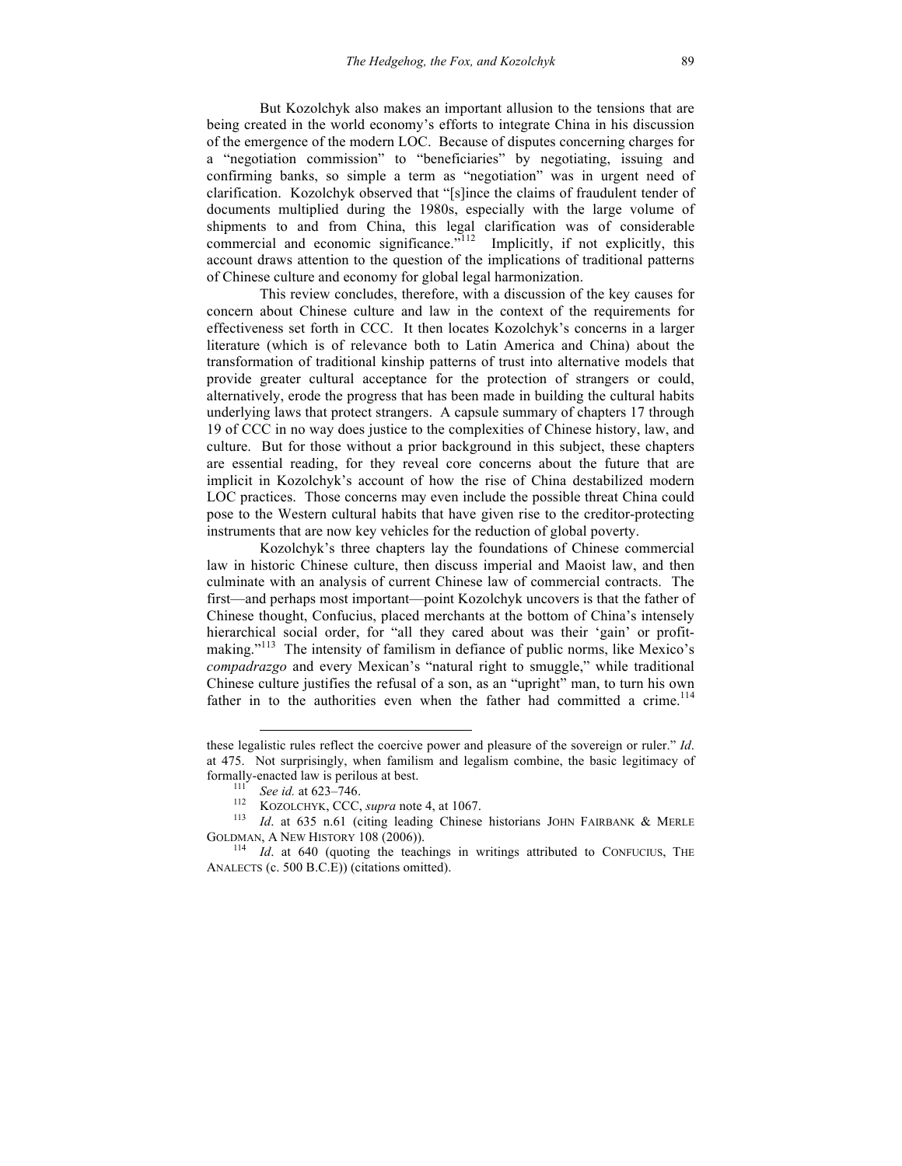But Kozolchyk also makes an important allusion to the tensions that are being created in the world economy's efforts to integrate China in his discussion of the emergence of the modern LOC. Because of disputes concerning charges for a "negotiation commission" to "beneficiaries" by negotiating, issuing and confirming banks, so simple a term as "negotiation" was in urgent need of clarification. Kozolchyk observed that "[s]ince the claims of fraudulent tender of documents multiplied during the 1980s, especially with the large volume of shipments to and from China, this legal clarification was of considerable commercial and economic significance.<sup> $112$ </sup> Implicitly, if not explicitly, this account draws attention to the question of the implications of traditional patterns of Chinese culture and economy for global legal harmonization.

This review concludes, therefore, with a discussion of the key causes for concern about Chinese culture and law in the context of the requirements for effectiveness set forth in CCC. It then locates Kozolchyk's concerns in a larger literature (which is of relevance both to Latin America and China) about the transformation of traditional kinship patterns of trust into alternative models that provide greater cultural acceptance for the protection of strangers or could, alternatively, erode the progress that has been made in building the cultural habits underlying laws that protect strangers. A capsule summary of chapters 17 through 19 of CCC in no way does justice to the complexities of Chinese history, law, and culture. But for those without a prior background in this subject, these chapters are essential reading, for they reveal core concerns about the future that are implicit in Kozolchyk's account of how the rise of China destabilized modern LOC practices. Those concerns may even include the possible threat China could pose to the Western cultural habits that have given rise to the creditor-protecting instruments that are now key vehicles for the reduction of global poverty.

Kozolchyk's three chapters lay the foundations of Chinese commercial law in historic Chinese culture, then discuss imperial and Maoist law, and then culminate with an analysis of current Chinese law of commercial contracts. The first—and perhaps most important—point Kozolchyk uncovers is that the father of Chinese thought, Confucius, placed merchants at the bottom of China's intensely hierarchical social order, for "all they cared about was their 'gain' or profitmaking."<sup>113</sup> The intensity of familism in defiance of public norms, like Mexico's *compadrazgo* and every Mexican's "natural right to smuggle," while traditional Chinese culture justifies the refusal of a son, as an "upright" man, to turn his own father in to the authorities even when the father had committed a crime.<sup>114</sup>

 $\overline{a}$ 

these legalistic rules reflect the coercive power and pleasure of the sovereign or ruler." *Id*. at 475. Not surprisingly, when familism and legalism combine, the basic legitimacy of formally-enacted law is perilous at best.<br>
<sup>111</sup> *See id.* at 623–746.<br>
<sup>112</sup> KOZOLCHYK, CCC, *supra* note 4, at 1067.<br>
<sup>113</sup> *Id.* at 635 n.61 (citing leading Chinese historians JOHN FAIRBANK & MERLE

GOLDMAN, A NEW HISTORY 108 (2006)). <sup>114</sup> *Id.* at 640 (quoting the teachings in writings attributed to CONFUCIUS, THE

ANALECTS (c. 500 B.C.E)) (citations omitted).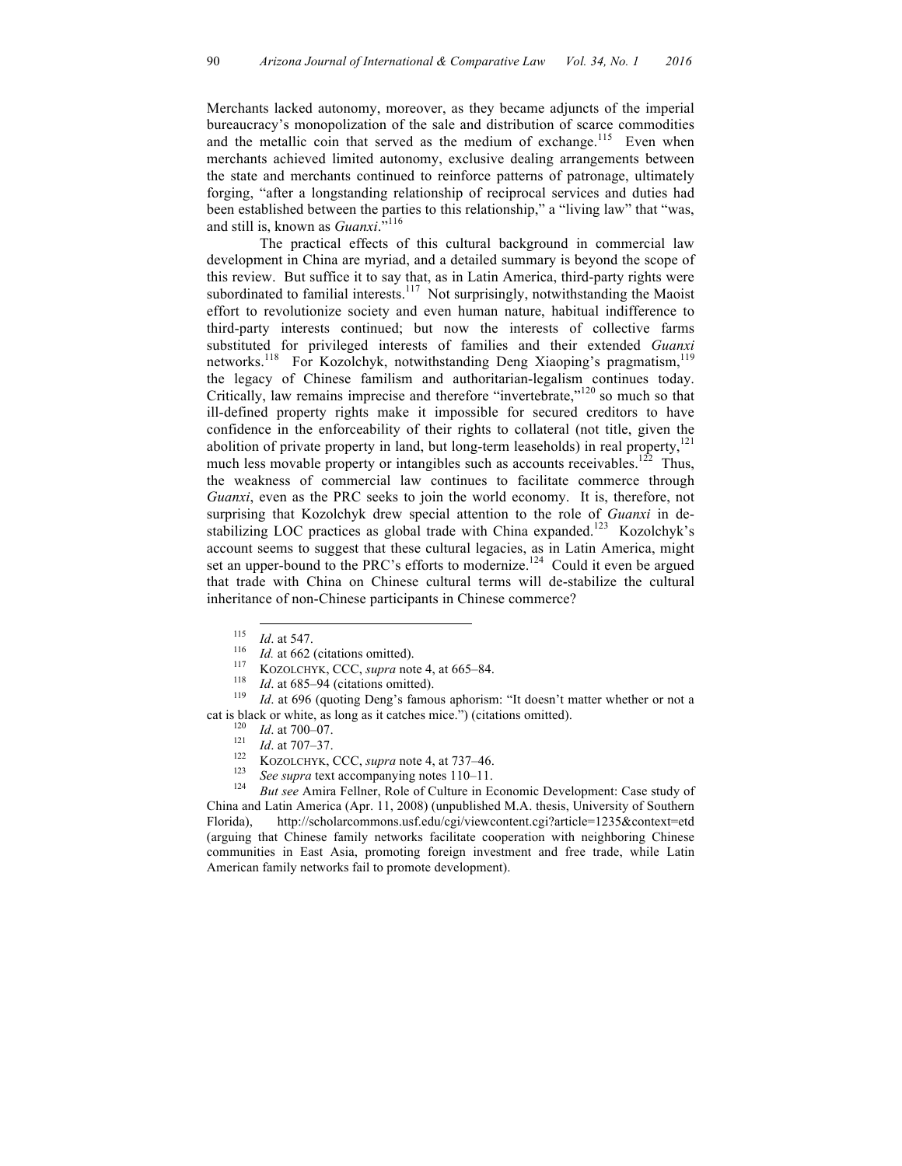Merchants lacked autonomy, moreover, as they became adjuncts of the imperial bureaucracy's monopolization of the sale and distribution of scarce commodities and the metallic coin that served as the medium of exchange.<sup>115</sup> Even when merchants achieved limited autonomy, exclusive dealing arrangements between the state and merchants continued to reinforce patterns of patronage, ultimately forging, "after a longstanding relationship of reciprocal services and duties had been established between the parties to this relationship," a "living law" that "was, and still is, known as *Guanxi*."<sup>116</sup>

The practical effects of this cultural background in commercial law development in China are myriad, and a detailed summary is beyond the scope of this review. But suffice it to say that, as in Latin America, third-party rights were subordinated to familial interests.<sup>117</sup> Not surprisingly, notwithstanding the Maoist effort to revolutionize society and even human nature, habitual indifference to third-party interests continued; but now the interests of collective farms substituted for privileged interests of families and their extended *Guanxi* networks.<sup>118</sup> For Kozolchyk, notwithstanding Deng Xiaoping's pragmatism,<sup>119</sup> the legacy of Chinese familism and authoritarian-legalism continues today. Critically, law remains imprecise and therefore "invertebrate,"<sup>120</sup> so much so that ill-defined property rights make it impossible for secured creditors to have confidence in the enforceability of their rights to collateral (not title, given the abolition of private property in land, but long-term leaseholds) in real property,  $^{121}$ much less movable property or intangibles such as accounts receivables.<sup>122</sup> Thus, the weakness of commercial law continues to facilitate commerce through *Guanxi*, even as the PRC seeks to join the world economy. It is, therefore, not surprising that Kozolchyk drew special attention to the role of *Guanxi* in destabilizing LOC practices as global trade with China expanded.<sup>123</sup> Kozolchyk's account seems to suggest that these cultural legacies, as in Latin America, might set an upper-bound to the PRC's efforts to modernize.<sup>124</sup> Could it even be argued that trade with China on Chinese cultural terms will de-stabilize the cultural inheritance of non-Chinese participants in Chinese commerce?

- 
- 

<sup>115</sup> *Id.* at 547.<br>
<sup>116</sup> *Id.* at 662 (citations omitted).<br>
<sup>117</sup> KOZOLCHYK, CCC, *supra* note 4, at 665–84.<br>
<sup>118</sup> *Id.* at 685–94 (citations omitted).<br>
<sup>119</sup> *Id.* at 696 (quoting Deng's famous aphorism: "It doesn't m cat is black or white, as long as it catches mice.") (citations omitted).<br>
<sup>120</sup> *Id.* at 700–07.<br>
<sup>121</sup> *Id.* at 707–37.<br>
KOZOLCHYK, CCC, *supra* note 4, at 737–46.<br>
<sup>123</sup> *See supra* text accompanying notes 110–11.<br>
<sup>12</sup>

- 
- 
- 
- 

China and Latin America (Apr. 11, 2008) (unpublished M.A. thesis, University of Southern Florida), http://scholarcommons.usf.edu/cgi/viewcontent.cgi?article=1235&context=etd (arguing that Chinese family networks facilitate cooperation with neighboring Chinese communities in East Asia, promoting foreign investment and free trade, while Latin American family networks fail to promote development).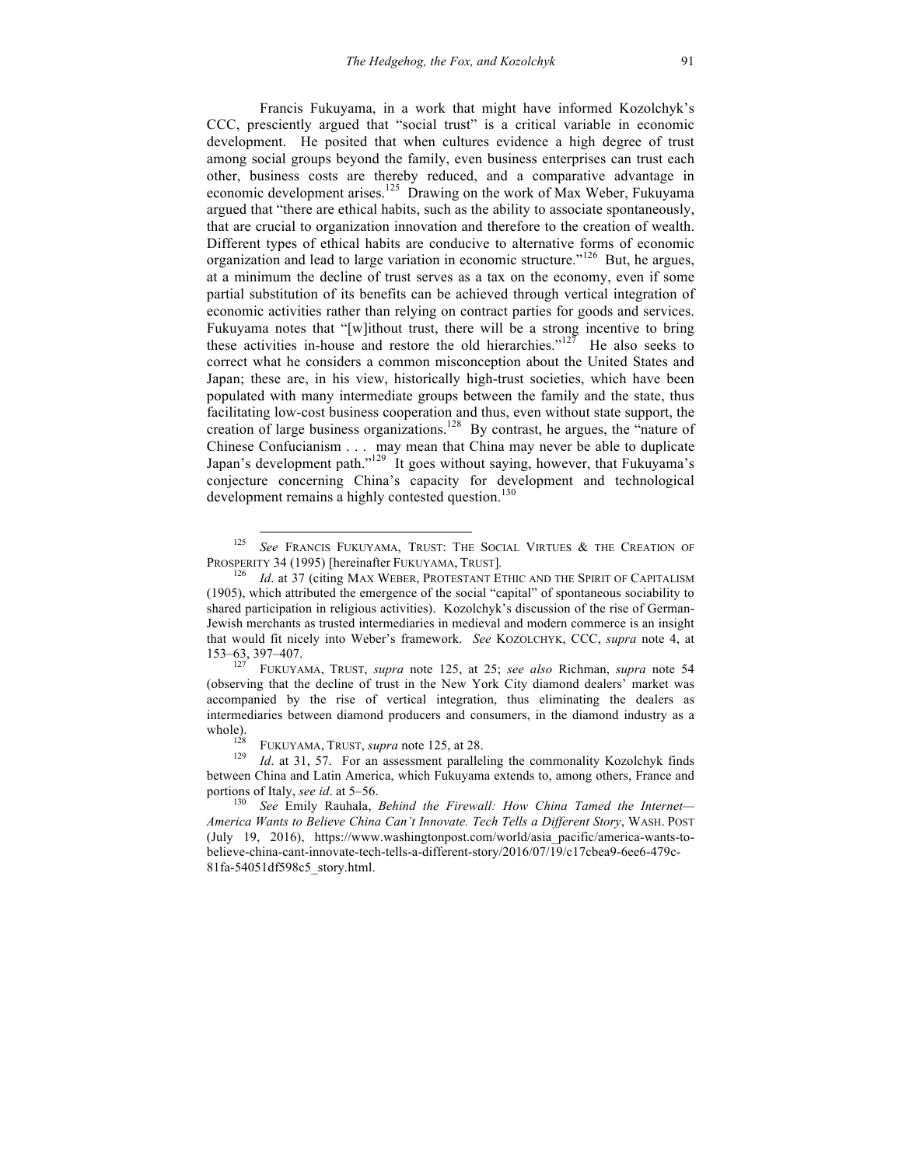Francis Fukuyama, in a work that might have informed Kozolchyk's CCC, presciently argued that "social trust" is a critical variable in economic development. He posited that when cultures evidence a high degree of trust among social groups beyond the family, even business enterprises can trust each other, business costs are thereby reduced, and a comparative advantage in economic development arises.<sup>125</sup> Drawing on the work of Max Weber, Fukuyama argued that "there are ethical habits, such as the ability to associate spontaneously, that are crucial to organization innovation and therefore to the creation of wealth. Different types of ethical habits are conducive to alternative forms of economic organization and lead to large variation in economic structure."<sup>126</sup> But, he argues, at a minimum the decline of trust serves as a tax on the economy, even if some partial substitution of its benefits can be achieved through vertical integration of economic activities rather than relying on contract parties for goods and services. Fukuyama notes that "[w]ithout trust, there will be a strong incentive to bring these activities in-house and restore the old hierarchies." $127$  He also seeks to correct what he considers a common misconception about the United States and Japan; these are, in his view, historically high-trust societies, which have been populated with many intermediate groups between the family and the state, thus facilitating low-cost business cooperation and thus, even without state support, the creation of large business organizations.<sup>128</sup> By contrast, he argues, the "nature of Chinese Confucianism . . . may mean that China may never be able to duplicate Japan's development path."<sup>129</sup> It goes without saying, however, that Fukuyama's conjecture concerning China's capacity for development and technological development remains a highly contested question.<sup>130</sup>

(observing that the decline of trust in the New York City diamond dealers' market was accompanied by the rise of vertical integration, thus eliminating the dealers as intermediaries between diamond producers and consumers, in the diamond industry as a whole).<br><sup>128</sup> FUKUYAMA, TRUST, *supra* note 125, at 28.<br><sup>129</sup> *Id.* at 31, 57. For an assessment paralleling the commonality Kozolchyk finds

between China and Latin America, which Fukuyama extends to, among others, France and

 <sup>125</sup> *See* FRANCIS FUKUYAMA, TRUST: THE SOCIAL VIRTUES & THE CREATION OF PROSPERITY 34 (1995) [hereinafter FUKUYAMA, TRUST]*.* 126 *Id*. at 37 (citing MAX WEBER, PROTESTANT ETHIC AND THE SPIRIT OF CAPITALISM

<sup>(1905),</sup> which attributed the emergence of the social "capital" of spontaneous sociability to shared participation in religious activities). Kozolchyk's discussion of the rise of German-Jewish merchants as trusted intermediaries in medieval and modern commerce is an insight that would fit nicely into Weber's framework. *See* KOZOLCHYK, CCC, *supra* note 4, at 153–63, 397–407. 127 FUKUYAMA, TRUST, *supra* note 125, at 25; *see also* Richman, *supra* note 54

portions of Italy, *see id.* at 5–56.<br><sup>130</sup> *See Emily Rauhala, Behind the Firewall: How China Tamed the Internet— America Wants to Believe China Can't Innovate. Tech Tells a Different Story*, WASH. POST (July 19, 2016), https://www.washingtonpost.com/world/asia\_pacific/america-wants-tobelieve-china-cant-innovate-tech-tells-a-different-story/2016/07/19/c17cbea9-6ee6-479c-81fa-54051df598c5\_story.html.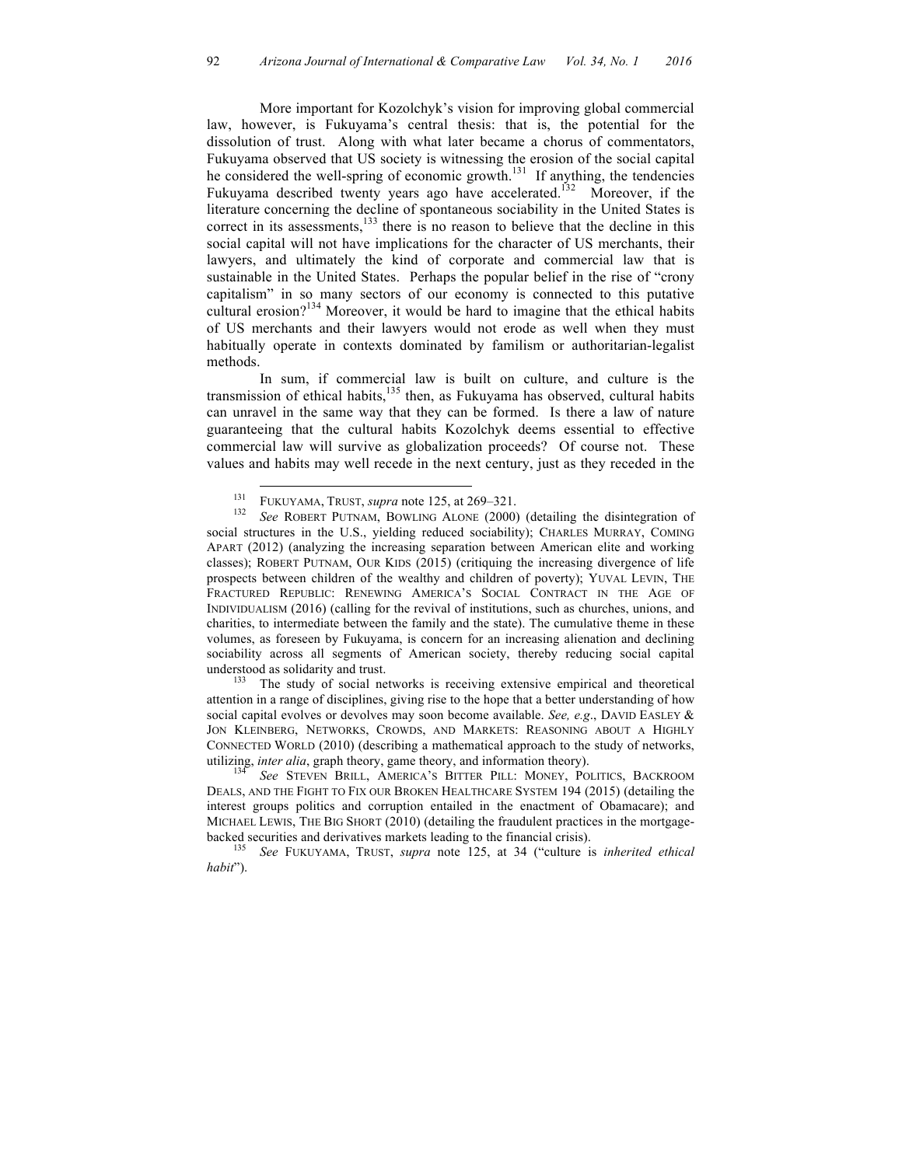More important for Kozolchyk's vision for improving global commercial law, however, is Fukuyama's central thesis: that is, the potential for the dissolution of trust. Along with what later became a chorus of commentators, Fukuyama observed that US society is witnessing the erosion of the social capital he considered the well-spring of economic growth.<sup>131</sup> If anything, the tendencies Fukuyama described twenty years ago have accelerated.<sup>132</sup> Moreover, if the literature concerning the decline of spontaneous sociability in the United States is correct in its assessments,<sup>133</sup> there is no reason to believe that the decline in this social capital will not have implications for the character of US merchants, their lawyers, and ultimately the kind of corporate and commercial law that is sustainable in the United States. Perhaps the popular belief in the rise of "crony capitalism" in so many sectors of our economy is connected to this putative cultural erosion?<sup>134</sup> Moreover, it would be hard to imagine that the ethical habits of US merchants and their lawyers would not erode as well when they must habitually operate in contexts dominated by familism or authoritarian-legalist methods.

In sum, if commercial law is built on culture, and culture is the transmission of ethical habits, $135$  then, as Fukuyama has observed, cultural habits can unravel in the same way that they can be formed. Is there a law of nature guaranteeing that the cultural habits Kozolchyk deems essential to effective commercial law will survive as globalization proceeds? Of course not. These values and habits may well recede in the next century, just as they receded in the

attention in a range of disciplines, giving rise to the hope that a better understanding of how social capital evolves or devolves may soon become available. *See, e.g*., DAVID EASLEY & JON KLEINBERG, NETWORKS, CROWDS, AND MARKETS: REASONING ABOUT A HIGHLY CONNECTED WORLD (2010) (describing a mathematical approach to the study of networks,

utilizing, *inter alia*, graph theory, game theory, and information theory). <sup>134</sup> *See* STEVEN BRILL, AMERICA'S BITTER PILL: MONEY, POLITICS, BACKROOM DEALS, AND THE FIGHT TO FIX OUR BROKEN HEALTHCARE SYSTEM 194 (2015) (detailing the interest groups politics and corruption entailed in the enactment of Obamacare); and MICHAEL LEWIS, THE BIG SHORT (2010) (detailing the fraudulent practices in the mortgagebacked securities and derivatives markets leading to the financial crisis). <sup>135</sup> *See* FUKUYAMA, TRUST, *supra* note 125, at 34 ("culture is *inherited ethical* 

*habit*").

<sup>&</sup>lt;sup>131</sup> FUKUYAMA, TRUST, *supra* note 125, at 269–321.<br><sup>132</sup> *See* ROBERT PUTNAM, BOWLING ALONE (2000) (detailing the disintegration of social structures in the U.S., yielding reduced sociability); CHARLES MURRAY, COMING APART (2012) (analyzing the increasing separation between American elite and working classes); ROBERT PUTNAM, OUR KIDS (2015) (critiquing the increasing divergence of life prospects between children of the wealthy and children of poverty); YUVAL LEVIN, THE FRACTURED REPUBLIC: RENEWING AMERICA'S SOCIAL CONTRACT IN THE AGE OF INDIVIDUALISM (2016) (calling for the revival of institutions, such as churches, unions, and charities, to intermediate between the family and the state). The cumulative theme in these volumes, as foreseen by Fukuyama, is concern for an increasing alienation and declining sociability across all segments of American society, thereby reducing social capital understood as solidarity and trust.<br><sup>133</sup> The study of social networks is receiving extensive empirical and theoretical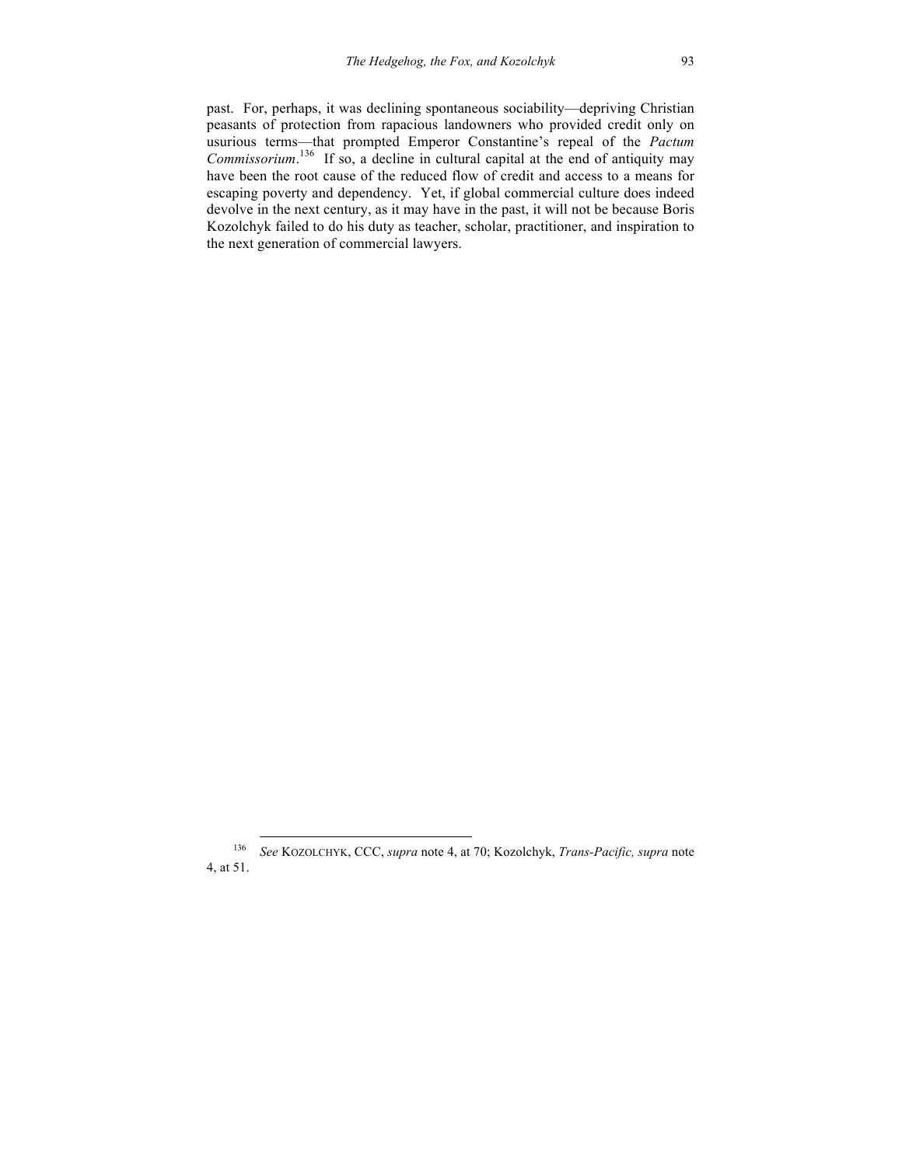past. For, perhaps, it was declining spontaneous sociability—depriving Christian peasants of protection from rapacious landowners who provided credit only on usurious terms—that prompted Emperor Constantine's repeal of the *Pactum Commissorium*. 136 If so, a decline in cultural capital at the end of antiquity may have been the root cause of the reduced flow of credit and access to a means for escaping poverty and dependency. Yet, if global commercial culture does indeed devolve in the next century, as it may have in the past, it will not be because Boris Kozolchyk failed to do his duty as teacher, scholar, practitioner, and inspiration to the next generation of commercial lawyers.

 <sup>136</sup> *See* KOZOLCHYK, CCC, *supra* note 4, at 70; Kozolchyk, *Trans-Pacific, supra* note 4, at 51.